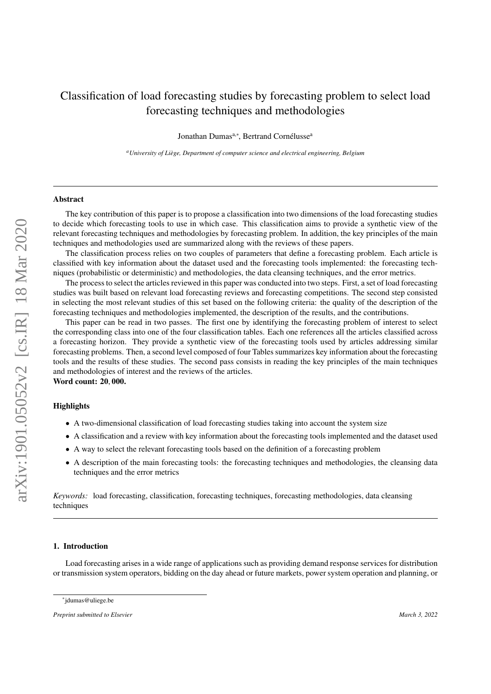## Classification of load forecasting studies by forecasting problem to select load forecasting techniques and methodologies

Jonathan Dumas<sup>a,\*</sup>, Bertrand Cornélusse<sup>a</sup>

*<sup>a</sup>University of Li`ege, Department of computer science and electrical engineering, Belgium*

#### Abstract

The key contribution of this paper is to propose a classification into two dimensions of the load forecasting studies to decide which forecasting tools to use in which case. This classification aims to provide a synthetic view of the relevant forecasting techniques and methodologies by forecasting problem. In addition, the key principles of the main techniques and methodologies used are summarized along with the reviews of these papers.

The classification process relies on two couples of parameters that define a forecasting problem. Each article is classified with key information about the dataset used and the forecasting tools implemented: the forecasting techniques (probabilistic or deterministic) and methodologies, the data cleansing techniques, and the error metrics.

The process to select the articles reviewed in this paper was conducted into two steps. First, a set of load forecasting studies was built based on relevant load forecasting reviews and forecasting competitions. The second step consisted in selecting the most relevant studies of this set based on the following criteria: the quality of the description of the forecasting techniques and methodologies implemented, the description of the results, and the contributions.

This paper can be read in two passes. The first one by identifying the forecasting problem of interest to select the corresponding class into one of the four classification tables. Each one references all the articles classified across a forecasting horizon. They provide a synthetic view of the forecasting tools used by articles addressing similar forecasting problems. Then, a second level composed of four Tables summarizes key information about the forecasting tools and the results of these studies. The second pass consists in reading the key principles of the main techniques and methodologies of interest and the reviews of the articles. Word count: 20, 000.

## **Highlights**

- A two-dimensional classification of load forecasting studies taking into account the system size
- A classification and a review with key information about the forecasting tools implemented and the dataset used
- A way to select the relevant forecasting tools based on the definition of a forecasting problem
- A description of the main forecasting tools: the forecasting techniques and methodologies, the cleansing data techniques and the error metrics

*Keywords:* load forecasting, classification, forecasting techniques, forecasting methodologies, data cleansing techniques

## 1. Introduction

Load forecasting arises in a wide range of applications such as providing demand response services for distribution or transmission system operators, bidding on the day ahead or future markets, power system operation and planning, or

<sup>∗</sup> jdumas@uliege.be

*Preprint submitted to Elsevier March 3, 2022*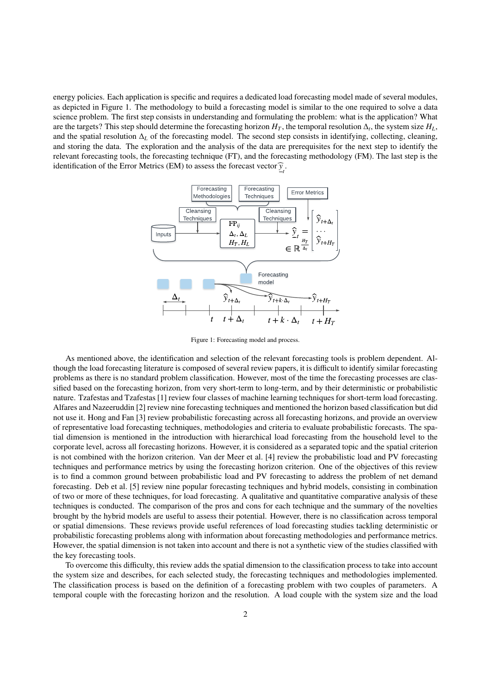<span id="page-1-0"></span>energy policies. Each application is specific and requires a dedicated load forecasting model made of several modules, as depicted in Figure [1.](#page-1-0) The methodology to build a forecasting model is similar to the one required to solve a data science problem. The first step consists in understanding and formulating the problem: what is the application? What are the targets? This step should determine the forecasting horizon  $H_T$ , the temporal resolution  $\Delta_t$ , the system size  $H_L$ , and the spatial resolution ∆*<sup>L</sup>* of the forecasting model. The second step consists in identifying, collecting, cleaning, and storing the data. The exploration and the analysis of the data are prerequisites for the next step to identify the relevant forecasting tools, the forecasting technique (FT), and the forecasting methodology (FM). The last step is the identification of the Error Metrics (EM) to assess the forecast vector  $\hat{y}_{t}$ .



Figure 1: Forecasting model and process.

As mentioned above, the identification and selection of the relevant forecasting tools is problem dependent. Although the load forecasting literature is composed of several review papers, it is difficult to identify similar forecasting problems as there is no standard problem classification. However, most of the time the forecasting processes are classified based on the forecasting horizon, from very short-term to long-term, and by their deterministic or probabilistic nature. Tzafestas and Tzafestas [\[1\]](#page-24-0) review four classes of machine learning techniques for short-term load forecasting. Alfares and Nazeeruddin [\[2\]](#page-24-1) review nine forecasting techniques and mentioned the horizon based classification but did not use it. Hong and Fan [\[3\]](#page-24-2) review probabilistic forecasting across all forecasting horizons, and provide an overview of representative load forecasting techniques, methodologies and criteria to evaluate probabilistic forecasts. The spatial dimension is mentioned in the introduction with hierarchical load forecasting from the household level to the corporate level, across all forecasting horizons. However, it is considered as a separated topic and the spatial criterion is not combined with the horizon criterion. Van der Meer et al. [\[4\]](#page-24-3) review the probabilistic load and PV forecasting techniques and performance metrics by using the forecasting horizon criterion. One of the objectives of this review is to find a common ground between probabilistic load and PV forecasting to address the problem of net demand forecasting. Deb et al. [\[5\]](#page-24-4) review nine popular forecasting techniques and hybrid models, consisting in combination of two or more of these techniques, for load forecasting. A qualitative and quantitative comparative analysis of these techniques is conducted. The comparison of the pros and cons for each technique and the summary of the novelties brought by the hybrid models are useful to assess their potential. However, there is no classification across temporal or spatial dimensions. These reviews provide useful references of load forecasting studies tackling deterministic or probabilistic forecasting problems along with information about forecasting methodologies and performance metrics. However, the spatial dimension is not taken into account and there is not a synthetic view of the studies classified with the key forecasting tools.

To overcome this difficulty, this review adds the spatial dimension to the classification process to take into account the system size and describes, for each selected study, the forecasting techniques and methodologies implemented. The classification process is based on the definition of a forecasting problem with two couples of parameters. A temporal couple with the forecasting horizon and the resolution. A load couple with the system size and the load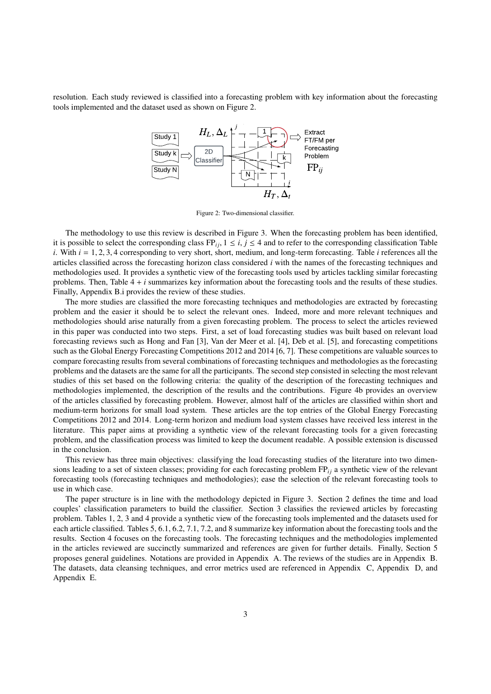<span id="page-2-0"></span>resolution. Each study reviewed is classified into a forecasting problem with key information about the forecasting tools implemented and the dataset used as shown on Figure [2.](#page-2-0)



Figure 2: Two-dimensional classifier.

The methodology to use this review is described in Figure [3.](#page-3-0) When the forecasting problem has been identified, it is possible to select the corresponding class  $FP_i$ ,  $1 \le i, j \le 4$  and to refer to the corresponding classification Table *<sup>i</sup>*. With *<sup>i</sup>* <sup>=</sup> <sup>1</sup>, <sup>2</sup>, <sup>3</sup>, 4 corresponding to very short, short, medium, and long-term forecasting. Table *<sup>i</sup>* references all the articles classified across the forecasting horizon class considered *i* with the names of the forecasting techniques and methodologies used. It provides a synthetic view of the forecasting tools used by articles tackling similar forecasting problems. Then, Table 4 + *i* summarizes key information about the forecasting tools and the results of these studies. Finally, Appendix B.i provides the review of these studies.

The more studies are classified the more forecasting techniques and methodologies are extracted by forecasting problem and the easier it should be to select the relevant ones. Indeed, more and more relevant techniques and methodologies should arise naturally from a given forecasting problem. The process to select the articles reviewed in this paper was conducted into two steps. First, a set of load forecasting studies was built based on relevant load forecasting reviews such as Hong and Fan [\[3\]](#page-24-2), Van der Meer et al. [\[4\]](#page-24-3), Deb et al. [\[5\]](#page-24-4), and forecasting competitions such as the Global Energy Forecasting Competitions 2012 and 2014 [\[6,](#page-24-5) [7\]](#page-24-6). These competitions are valuable sources to compare forecasting results from several combinations of forecasting techniques and methodologies as the forecasting problems and the datasets are the same for all the participants. The second step consisted in selecting the most relevant studies of this set based on the following criteria: the quality of the description of the forecasting techniques and methodologies implemented, the description of the results and the contributions. Figure [4b](#page-4-0) provides an overview of the articles classified by forecasting problem. However, almost half of the articles are classified within short and medium-term horizons for small load system. These articles are the top entries of the Global Energy Forecasting Competitions 2012 and 2014. Long-term horizon and medium load system classes have received less interest in the literature. This paper aims at providing a synthetic view of the relevant forecasting tools for a given forecasting problem, and the classification process was limited to keep the document readable. A possible extension is discussed in the conclusion.

This review has three main objectives: classifying the load forecasting studies of the literature into two dimensions leading to a set of sixteen classes; providing for each forecasting problem  $FP_{ij}$  a synthetic view of the relevant forecasting tools (forecasting techniques and methodologies); ease the selection of the relevant forecasting tools to use in which case.

The paper structure is in line with the methodology depicted in Figure [3.](#page-3-0) Section [2](#page-3-1) defines the time and load couples' classification parameters to build the classifier. Section [3](#page-5-0) classifies the reviewed articles by forecasting problem. Tables [1,](#page-5-1) [2,](#page-6-0) [3](#page-7-0) and [4](#page-8-0) provide a synthetic view of the forecasting tools implemented and the datasets used for each article classified. Tables [5,](#page-9-0) [6.1,](#page-10-0) [6.2,](#page-11-0) [7.1,](#page-12-0) [7.2,](#page-13-0) and [8](#page-14-0) summarize key information about the forecasting tools and the results. Section [4](#page-14-1) focuses on the forecasting tools. The forecasting techniques and the methodologies implemented in the articles reviewed are succinctly summarized and references are given for further details. Finally, Section [5](#page-21-0) proposes general guidelines. Notations are provided in [Appendix A.](#page-27-0) The reviews of the studies are in [Appendix B.](#page-28-0) The datasets, data cleansing techniques, and error metrics used are referenced in [Appendix C,](#page-38-0) [Appendix D,](#page-39-0) and [Appendix E.](#page-40-0)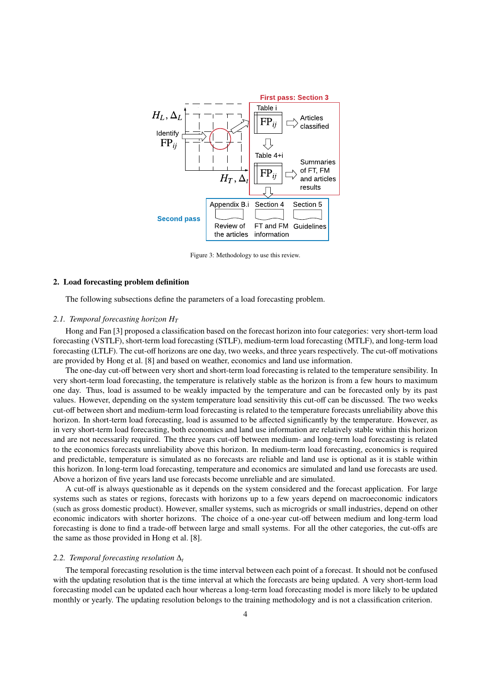<span id="page-3-0"></span>

Figure 3: Methodology to use this review.

#### <span id="page-3-1"></span>2. Load forecasting problem definition

The following subsections define the parameters of a load forecasting problem.

#### *2.1. Temporal forecasting horizon H<sup>T</sup>*

Hong and Fan [\[3\]](#page-24-2) proposed a classification based on the forecast horizon into four categories: very short-term load forecasting (VSTLF), short-term load forecasting (STLF), medium-term load forecasting (MTLF), and long-term load forecasting (LTLF). The cut-off horizons are one day, two weeks, and three years respectively. The cut-off motivations are provided by Hong et al. [\[8\]](#page-24-7) and based on weather, economics and land use information.

The one-day cut-off between very short and short-term load forecasting is related to the temperature sensibility. In very short-term load forecasting, the temperature is relatively stable as the horizon is from a few hours to maximum one day. Thus, load is assumed to be weakly impacted by the temperature and can be forecasted only by its past values. However, depending on the system temperature load sensitivity this cut-off can be discussed. The two weeks cut-off between short and medium-term load forecasting is related to the temperature forecasts unreliability above this horizon. In short-term load forecasting, load is assumed to be affected significantly by the temperature. However, as in very short-term load forecasting, both economics and land use information are relatively stable within this horizon and are not necessarily required. The three years cut-off between medium- and long-term load forecasting is related to the economics forecasts unreliability above this horizon. In medium-term load forecasting, economics is required and predictable, temperature is simulated as no forecasts are reliable and land use is optional as it is stable within this horizon. In long-term load forecasting, temperature and economics are simulated and land use forecasts are used. Above a horizon of five years land use forecasts become unreliable and are simulated.

A cut-off is always questionable as it depends on the system considered and the forecast application. For large systems such as states or regions, forecasts with horizons up to a few years depend on macroeconomic indicators (such as gross domestic product). However, smaller systems, such as microgrids or small industries, depend on other economic indicators with shorter horizons. The choice of a one-year cut-off between medium and long-term load forecasting is done to find a trade-off between large and small systems. For all the other categories, the cut-offs are the same as those provided in Hong et al. [\[8\]](#page-24-7).

#### *2.2. Temporal forecasting resolution* ∆*<sup>t</sup>*

The temporal forecasting resolution is the time interval between each point of a forecast. It should not be confused with the updating resolution that is the time interval at which the forecasts are being updated. A very short-term load forecasting model can be updated each hour whereas a long-term load forecasting model is more likely to be updated monthly or yearly. The updating resolution belongs to the training methodology and is not a classification criterion.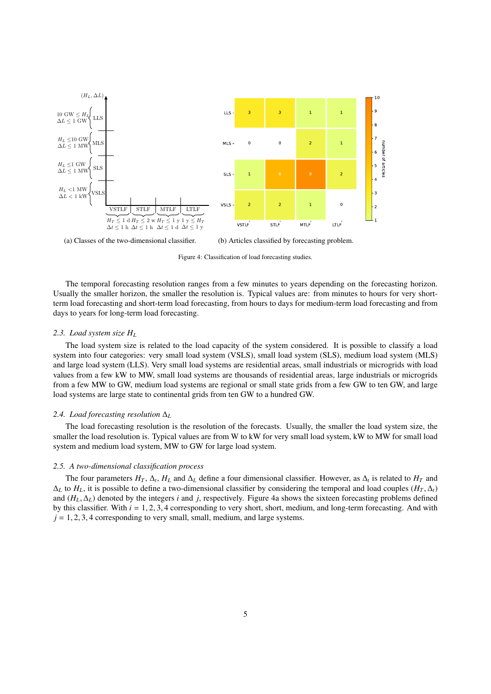<span id="page-4-0"></span>

(a) Classes of the two-dimensional classifier. (b) Articles classified by forecasting problem.

Figure 4: Classification of load forecasting studies.

The temporal forecasting resolution ranges from a few minutes to years depending on the forecasting horizon. Usually the smaller horizon, the smaller the resolution is. Typical values are: from minutes to hours for very shortterm load forecasting and short-term load forecasting, from hours to days for medium-term load forecasting and from days to years for long-term load forecasting.

#### *2.3. Load system size H<sup>L</sup>*

The load system size is related to the load capacity of the system considered. It is possible to classify a load system into four categories: very small load system (VSLS), small load system (SLS), medium load system (MLS) and large load system (LLS). Very small load systems are residential areas, small industrials or microgrids with load values from a few kW to MW, small load systems are thousands of residential areas, large industrials or microgrids from a few MW to GW, medium load systems are regional or small state grids from a few GW to ten GW, and large load systems are large state to continental grids from ten GW to a hundred GW.

#### *2.4. Load forecasting resolution* ∆*<sup>L</sup>*

The load forecasting resolution is the resolution of the forecasts. Usually, the smaller the load system size, the smaller the load resolution is. Typical values are from W to kW for very small load system, kW to MW for small load system and medium load system, MW to GW for large load system.

#### *2.5. A two-dimensional classification process*

The four parameters  $H_T$ ,  $\Delta_t$ ,  $H_L$  and  $\Delta_L$  define a four dimensional classifier. However, as  $\Delta_t$  is related to  $H_T$  and  $\Delta_L$  to  $H_L$ , it is possible to define a two-dimensional classifier by considering the temporal and load couples  $(H_T, \Delta_t)$ and  $(H_L, \Delta_L)$  denoted by the integers *i* and *j*, respectively. Figure [4a](#page-4-0) shows the sixteen forecasting problems defined by this classifier. With  $i = 1, 2, 3, 4$  corresponding to very short, short, medium, and long-term forecasting. And with  $j = 1, 2, 3, 4$  corresponding to very small, small, medium, and large systems.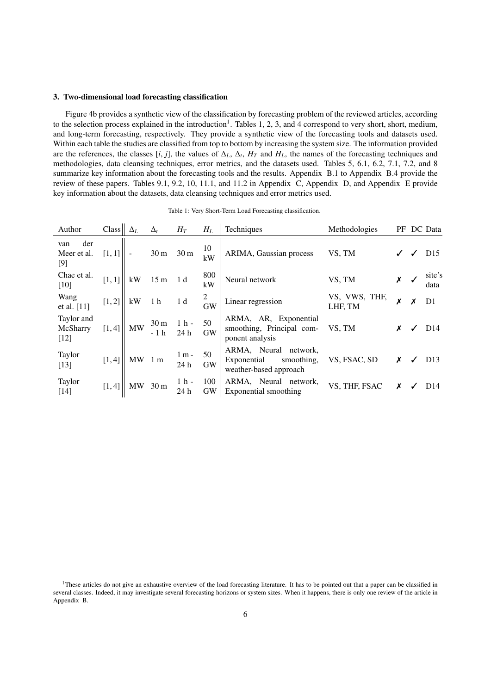#### <span id="page-5-0"></span>3. Two-dimensional load forecasting classification

Figure [4b](#page-4-0) provides a synthetic view of the classification by forecasting problem of the reviewed articles, according to the selection process explained in the introduction<sup>[1](#page-5-2)</sup>. Tables [1,](#page-5-1) [2,](#page-6-0) [3,](#page-7-0) and [4](#page-8-0) correspond to very short, short, medium, and long-term forecasting, respectively. They provide a synthetic view of the forecasting tools and datasets used. Within each table the studies are classified from top to bottom by increasing the system size. The information provided are the references, the classes [*i*, *j*], the values of  $\Delta_L$ ,  $\Delta_t$ ,  $H_T$  and  $H_L$ , the names of the forecasting techniques and methodologies data cleansing techniques error metrics and the datasets used. Tables 5, 6, methodologies, data cleansing techniques, error metrics, and the datasets used. Tables [5,](#page-9-0) [6.1,](#page-10-0) [6.2,](#page-11-0) [7.1,](#page-12-0) [7.2,](#page-13-0) and [8](#page-14-0) summarize key information about the forecasting tools and the results. [Appendix B.1](#page-28-1) to [Appendix B.4](#page-37-0) provide the review of these papers. Tables [9.1,](#page-38-1) [9.2,](#page-39-1) [10,](#page-40-1) [11.1,](#page-41-0) and [11.2](#page-42-0) in [Appendix C,](#page-38-0) [Appendix D,](#page-39-0) and [Appendix E](#page-40-0) provide key information about the datasets, data cleansing techniques and error metrics used.

|  |  |  |  |  | Table 1: Very Short-Term Load Forecasting classification. |
|--|--|--|--|--|-----------------------------------------------------------|
|--|--|--|--|--|-----------------------------------------------------------|

<span id="page-5-1"></span>

| Author                           | Class <sub>l</sub> | $\Delta_L$ | $\Delta_t$               | $H_T$           | $H_L$            | <b>Techniques</b>                                                               | Methodologies            |   |   | PF DC Data      |
|----------------------------------|--------------------|------------|--------------------------|-----------------|------------------|---------------------------------------------------------------------------------|--------------------------|---|---|-----------------|
| der<br>van<br>Meer et al.<br>[9] | [1, 1]             |            | 30 <sub>m</sub>          | 30 <sub>m</sub> | 10<br>kW         | ARIMA, Gaussian process                                                         | VS, TM                   |   | ✓ | D <sub>15</sub> |
| Chae et al.<br>$[10]$            | [1, 1]             | kW         | 15 <sub>m</sub>          | 1d              | 800<br>kW        | Neural network                                                                  | VS, TM                   |   |   | site's<br>data  |
| Wang<br>et al. [11]              | [1, 2]             | kW         | 1 <sub>h</sub>           | 1 d             | 2<br><b>GW</b>   | Linear regression                                                               | VS, VWS, THF,<br>LHF, TM | X | X | D <sub>1</sub>  |
| Taylor and<br>McSharry<br>$[12]$ | [1, 4]             | MW         | 30 <sub>m</sub><br>$-1h$ | $1h$ -<br>24h   | 50<br><b>GW</b>  | ARMA, AR, Exponential<br>smoothing, Principal com-<br>ponent analysis           | VS, TM                   | x | ✓ | D <sub>14</sub> |
| Taylor<br>$[13]$                 | [1, 4]             |            | $MW_1m$                  | $1 m -$<br>24h  | 50<br>GW         | ARMA, Neural<br>network,<br>Exponential<br>smoothing,<br>weather-based approach | VS, FSAC, SD             | Х |   | D <sub>13</sub> |
| Taylor<br>$[14]$                 | [1, 4]             | <b>MW</b>  | 30 <sub>m</sub>          | $1h$ -<br>24 h  | 100<br><b>GW</b> | ARMA, Neural network,<br>Exponential smoothing                                  | VS, THF, FSAC            | X |   | D <sub>14</sub> |

<span id="page-5-2"></span><sup>&</sup>lt;sup>1</sup>These articles do not give an exhaustive overview of the load forecasting literature. It has to be pointed out that a paper can be classified in several classes. Indeed, it may investigate several forecasting horizons or system sizes. When it happens, there is only one review of the article in [Appendix B.](#page-28-0)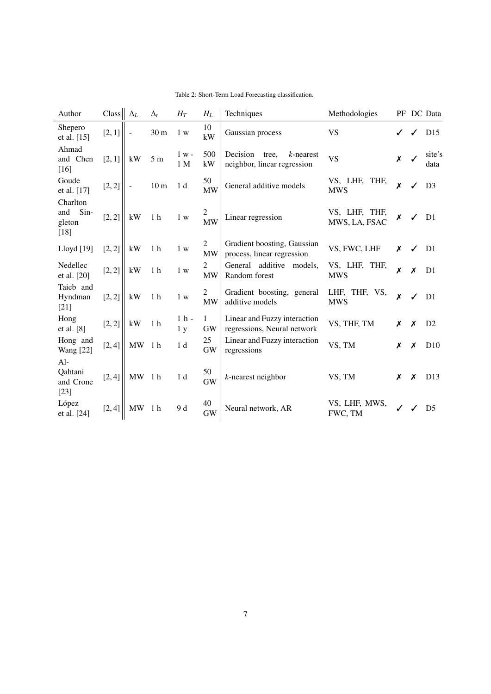<span id="page-6-0"></span>

| Author                                  | Class            |                          | $\Delta_L$ | $\Delta_t$      | $H_T$                    | $H_L$                       | Techniques                                                       | Methodologies                  | PF               |                  | DC Data        |
|-----------------------------------------|------------------|--------------------------|------------|-----------------|--------------------------|-----------------------------|------------------------------------------------------------------|--------------------------------|------------------|------------------|----------------|
| Shepero<br>et al. [15]                  | [2, 1]           | $\overline{\phantom{a}}$ |            | 30 <sub>m</sub> | 1 w                      | 10<br>kW                    | Gaussian process                                                 | <b>VS</b>                      |                  | ✓                | D15            |
| Ahmad<br>and Chen<br>$[16]$             | [2, 1]           |                          | kW         | $5m$            | $1 w -$<br>1 M           | 500<br>kW                   | Decision<br>$k$ -nearest<br>tree,<br>neighbor, linear regression | <b>VS</b>                      | $\pmb{\chi}$     | ✓                | site's<br>data |
| Goude<br>et al. [17]                    | [2, 2]           | $\blacksquare$           |            | 10 <sub>m</sub> | 1 <sub>d</sub>           | 50<br><b>MW</b>             | General additive models                                          | VS, LHF, THF,<br><b>MWS</b>    | X                |                  | D <sub>3</sub> |
| Charlton<br>and<br>gleton<br>$[18]$     | $Sin-$<br>[2, 2] |                          | kW         | 1 <sub>h</sub>  | 1 w                      | $\overline{2}$<br><b>MW</b> | Linear regression                                                | VS, LHF, THF,<br>MWS, LA, FSAC | X                | ✓                | D <sub>1</sub> |
| Lloyd [19]                              | [2, 2]           |                          | kW         | $1\ \mathrm{h}$ | 1 w                      | $\overline{2}$<br><b>MW</b> | Gradient boosting, Gaussian<br>process, linear regression        | VS, FWC, LHF                   | X                | ✓                | D <sub>1</sub> |
| Nedellec<br>et al. [20]                 | [2, 2]           |                          | kW         | 1 <sub>h</sub>  | 1 w                      | $\overline{2}$<br><b>MW</b> | additive<br>General<br>models,<br>Random forest                  | VS, LHF, THF,<br><b>MWS</b>    | X                | $\pmb{\times}$   | D <sub>1</sub> |
| Taieb and<br>Hyndman<br>$[21]$          | [2, 2]           |                          | kW         | 1 <sub>h</sub>  | 1 w                      | 2<br><b>MW</b>              | Gradient boosting, general<br>additive models                    | LHF, THF, VS,<br><b>MWS</b>    | $\boldsymbol{x}$ | $\checkmark$     | D <sub>1</sub> |
| Hong<br>et al. [8]                      | [2, 2]           |                          | kW         | 1 <sub>h</sub>  | $1h$ -<br>1 <sub>y</sub> | $\mathbf{1}$<br><b>GW</b>   | Linear and Fuzzy interaction<br>regressions, Neural network      | VS, THF, TM                    | Х                | $\boldsymbol{x}$ | D2             |
| Hong and<br><b>Wang</b> [22]            | [2, 4]           |                          | MW         | 1 <sub>h</sub>  | 1 <sub>d</sub>           | 25<br><b>GW</b>             | Linear and Fuzzy interaction<br>regressions                      | VS, TM                         | Х                | X                | D10            |
| $Al-$<br>Qahtani<br>and Crone<br>$[23]$ | [2, 4]           |                          | MW         | 1 <sub>h</sub>  | 1 <sub>d</sub>           | 50<br><b>GW</b>             | $k$ -nearest neighbor                                            | VS, TM                         | Х                | X                | D13            |
| López<br>et al. [24]                    | [2, 4]           |                          | <b>MW</b>  | 1 <sub>h</sub>  | 9 d                      | 40<br><b>GW</b>             | Neural network, AR                                               | VS, LHF, MWS,<br>FWC, TM       | $\checkmark$     | $\checkmark$     | D <sub>5</sub> |

Table 2: Short-Term Load Forecasting classification.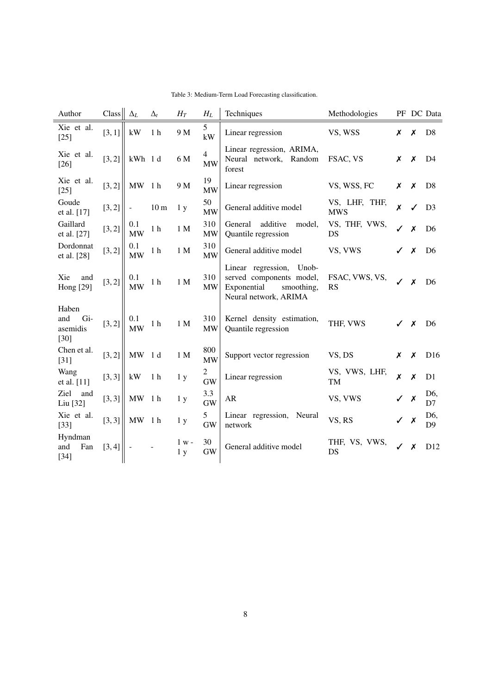<span id="page-7-0"></span>

| Author                                    | Class  | $\Delta_L$               | $\Delta_t$      | ${\cal H}_T$              | $H_L$            | Techniques                                                                                                    | Methodologies               |   |                           | PF DC Data            |
|-------------------------------------------|--------|--------------------------|-----------------|---------------------------|------------------|---------------------------------------------------------------------------------------------------------------|-----------------------------|---|---------------------------|-----------------------|
| Xie et al.<br>$[25]$                      | [3, 1] | kW                       | 1 <sub>h</sub>  | 9 M                       | 5<br>kW          | Linear regression                                                                                             | VS, WSS                     | X | X                         | D <sub>8</sub>        |
| Xie et al.<br>$[26]$                      | [3, 2] | kWh 1d                   |                 | 6 M                       | 4<br><b>MW</b>   | Linear regression, ARIMA,<br>Neural network, Random<br>forest                                                 | FSAC, VS                    | X | X                         | D <sub>4</sub>        |
| Xie et al.<br>$[25]$                      | [3, 2] | MW                       | 1 <sub>h</sub>  | 9 M                       | 19<br>MW         | Linear regression                                                                                             | VS, WSS, FC                 | X | X                         | D <sub>8</sub>        |
| Goude<br>et al. [17]                      | [3, 2] | $\overline{\phantom{a}}$ | 10 <sub>m</sub> | 1 <sub>y</sub>            | 50<br><b>MW</b>  | General additive model                                                                                        | VS, LHF, THF,<br><b>MWS</b> | X | $\checkmark$              | D <sub>3</sub>        |
| Gaillard<br>et al. [27]                   | [3, 2] | 0.1<br><b>MW</b>         | 1 <sub>h</sub>  | 1 M                       | 310<br><b>MW</b> | additive<br>General<br>model,<br>Quantile regression                                                          | VS, THF, VWS,<br>DS         | ✓ | X                         | D <sub>6</sub>        |
| Dordonnat<br>et al. [28]                  | [3, 2] | 0.1<br><b>MW</b>         | 1 <sub>h</sub>  | 1 <sub>M</sub>            | 310<br><b>MW</b> | General additive model                                                                                        | VS, VWS                     | ✓ | X                         | D <sub>6</sub>        |
| Xie<br>and<br><b>Hong</b> [29]            | [3, 2] | 0.1<br><b>MW</b>         | 1 <sub>h</sub>  | 1 M                       | 310<br><b>MW</b> | Linear regression,<br>Unob-<br>served components model,<br>Exponential<br>smoothing,<br>Neural network, ARIMA | FSAC, VWS, VS,<br><b>RS</b> | ✓ | X                         | D <sub>6</sub>        |
| Haben<br>Gi-<br>and<br>asemidis<br>$[30]$ | [3, 2] | 0.1<br><b>MW</b>         | 1 <sub>h</sub>  | 1 <sub>M</sub>            | 310<br><b>MW</b> | Kernel density estimation,<br>Quantile regression                                                             | THF, VWS                    |   | X                         | D <sub>6</sub>        |
| Chen et al.<br>$[31]$                     | [3, 2] | MW                       | 1 d             | 1 M                       | 800<br><b>MW</b> | Support vector regression                                                                                     | VS, DS                      | Х | X                         | D <sub>16</sub>       |
| Wang<br>et al. [11]                       | [3, 3] | kW                       | 1 <sub>h</sub>  | 1 <sub>y</sub>            | 2<br><b>GW</b>   | Linear regression                                                                                             | VS, VWS, LHF,<br><b>TM</b>  | X | $\boldsymbol{x}$          | D <sub>1</sub>        |
| Ziel<br>and<br>Liu [32]                   | [3, 3] | MW 1h                    |                 | 1 <sub>y</sub>            | 3.3<br><b>GW</b> | AR                                                                                                            | VS, VWS                     |   | X                         | D <sub>6</sub><br>D7  |
| Xie et al.<br>$[33]$                      | [3, 3] | MW                       | 1 h             | 1 <sub>y</sub>            | 5<br><b>GW</b>   | Linear regression, Neural<br>network                                                                          | VS, RS                      |   | $\boldsymbol{\mathsf{x}}$ | D6,<br>D <sub>9</sub> |
| Hyndman<br>and<br>Fan<br>$[34]$           | [3, 4] | $\overline{\phantom{a}}$ |                 | $1 w -$<br>1 <sub>y</sub> | 30<br><b>GW</b>  | General additive model                                                                                        | THF, VS, VWS,<br>DS         | ✓ | X                         | D <sub>12</sub>       |

Table 3: Medium-Term Load Forecasting classification.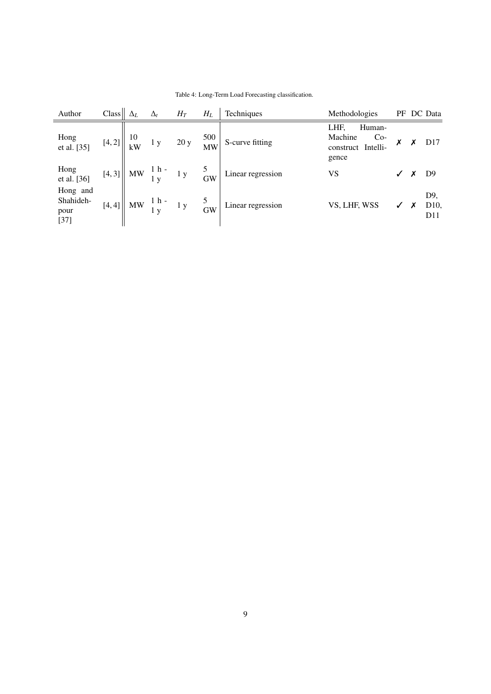<span id="page-8-0"></span>

| Author                                  | Class  | $\Delta_L$ | $\Delta_t$                                     | $H_T$ | $H_L$                 | Techniques        | Methodologies                                                     |                  | PF DC Data                                |
|-----------------------------------------|--------|------------|------------------------------------------------|-------|-----------------------|-------------------|-------------------------------------------------------------------|------------------|-------------------------------------------|
| Hong<br>et al. [35]                     | [4, 2] | 10<br>kW   | 1 y                                            | 20y   | 500<br><b>MW</b>      | S-curve fitting   | LHF,<br>Human-<br>Machine<br>$Co-$<br>construct Intelli-<br>gence | Х                | D17                                       |
| Hong<br>et al. [36]                     | [4, 3] |            | $\parallel$ MW $\frac{1}{1} \frac{h}{y}$ - 1 y |       | $\overline{GW}$       | Linear regression | VS                                                                |                  | D <sub>9</sub>                            |
| Hong and<br>Shahideh-<br>pour<br>$[37]$ | [4, 4] |            | $  $ MW $\frac{1}{1}$ h - 1 y                  |       | $\frac{6}{\text{GW}}$ | Linear regression | VS, LHF, WSS                                                      | $\boldsymbol{x}$ | D9,<br>D <sub>10</sub><br>D <sub>11</sub> |

Table 4: Long-Term Load Forecasting classification.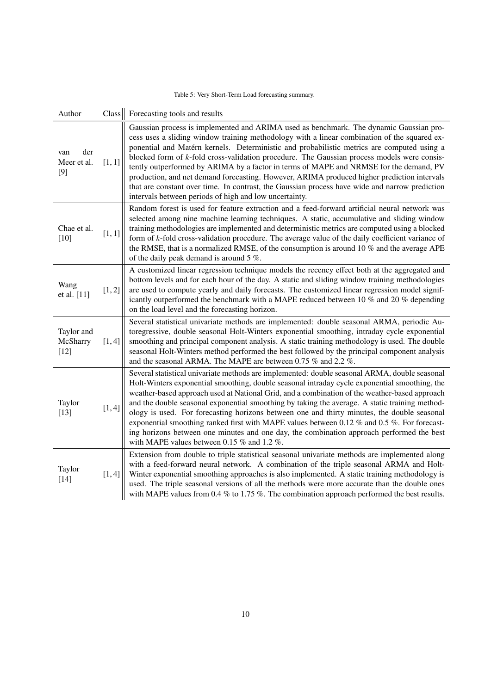## Table 5: Very Short-Term Load forecasting summary.

<span id="page-9-0"></span>

| Author                             | Class  | Forecasting tools and results                                                                                                                                                                                                                                                                                                                                                                                                                                                                                                                                                                                                                                                                                                                        |
|------------------------------------|--------|------------------------------------------------------------------------------------------------------------------------------------------------------------------------------------------------------------------------------------------------------------------------------------------------------------------------------------------------------------------------------------------------------------------------------------------------------------------------------------------------------------------------------------------------------------------------------------------------------------------------------------------------------------------------------------------------------------------------------------------------------|
| der<br>van<br>Meer et al.<br>$[9]$ | [1, 1] | Gaussian process is implemented and ARIMA used as benchmark. The dynamic Gaussian pro-<br>cess uses a sliding window training methodology with a linear combination of the squared ex-<br>ponential and Matérn kernels. Deterministic and probabilistic metrics are computed using a<br>blocked form of k-fold cross-validation procedure. The Gaussian process models were consis-<br>tently outperformed by ARIMA by a factor in terms of MAPE and NRMSE for the demand, PV<br>production, and net demand forecasting. However, ARIMA produced higher prediction intervals<br>that are constant over time. In contrast, the Gaussian process have wide and narrow prediction<br>intervals between periods of high and low uncertainty.             |
| Chae et al.<br>[10]                | [1, 1] | Random forest is used for feature extraction and a feed-forward artificial neural network was<br>selected among nine machine learning techniques. A static, accumulative and sliding window<br>training methodologies are implemented and deterministic metrics are computed using a blocked<br>form of k-fold cross-validation procedure. The average value of the daily coefficient variance of<br>the RMSE, that is a normalized RMSE, of the consumption is around 10 $\%$ and the average APE<br>of the daily peak demand is around $5\%$ .                                                                                                                                                                                                     |
| Wang<br>et al. [11]                | [1, 2] | A customized linear regression technique models the recency effect both at the aggregated and<br>bottom levels and for each hour of the day. A static and sliding window training methodologies<br>are used to compute yearly and daily forecasts. The customized linear regression model signif-<br>icantly outperformed the benchmark with a MAPE reduced between 10 $%$ and 20 $%$ depending<br>on the load level and the forecasting horizon.                                                                                                                                                                                                                                                                                                    |
| Taylor and<br>McSharry<br>$[12]$   | [1, 4] | Several statistical univariate methods are implemented: double seasonal ARMA, periodic Au-<br>toregressive, double seasonal Holt-Winters exponential smoothing, intraday cycle exponential<br>smoothing and principal component analysis. A static training methodology is used. The double<br>seasonal Holt-Winters method performed the best followed by the principal component analysis<br>and the seasonal ARMA. The MAPE are between 0.75 % and 2.2 %.                                                                                                                                                                                                                                                                                         |
| Taylor<br>$[13]$                   | [1, 4] | Several statistical univariate methods are implemented: double seasonal ARMA, double seasonal<br>Holt-Winters exponential smoothing, double seasonal intraday cycle exponential smoothing, the<br>weather-based approach used at National Grid, and a combination of the weather-based approach<br>and the double seasonal exponential smoothing by taking the average. A static training method-<br>ology is used. For forecasting horizons between one and thirty minutes, the double seasonal<br>exponential smoothing ranked first with MAPE values between 0.12 $%$ and 0.5 $%$ . For forecast-<br>ing horizons between one minutes and one day, the combination approach performed the best<br>with MAPE values between 0.15 $%$ and 1.2 $%$ . |
| Taylor<br>$[14]$                   | [1, 4] | Extension from double to triple statistical seasonal univariate methods are implemented along<br>with a feed-forward neural network. A combination of the triple seasonal ARMA and Holt-<br>Winter exponential smoothing approaches is also implemented. A static training methodology is<br>used. The triple seasonal versions of all the methods were more accurate than the double ones<br>with MAPE values from 0.4 $\%$ to 1.75 $\%$ . The combination approach performed the best results.                                                                                                                                                                                                                                                     |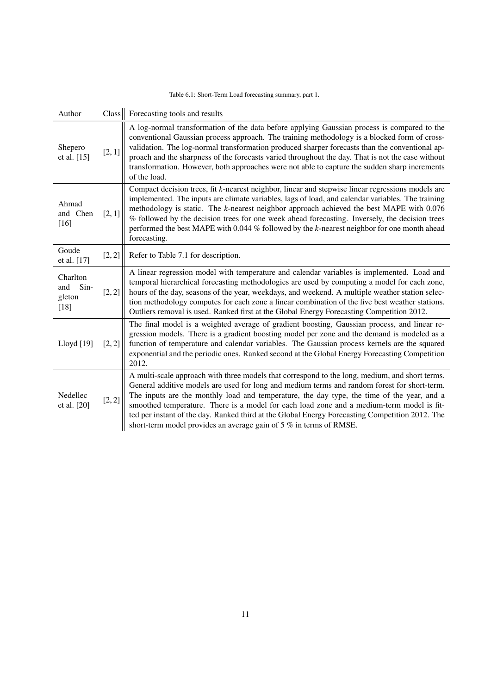|  | Table 6.1: Short-Term Load forecasting summary, part 1. |  |  |  |  |  |
|--|---------------------------------------------------------|--|--|--|--|--|
|--|---------------------------------------------------------|--|--|--|--|--|

<span id="page-10-0"></span>

| Author                                      | Class <sub>l</sub> | Forecasting tools and results                                                                                                                                                                                                                                                                                                                                                                                                                                                                                                                                      |
|---------------------------------------------|--------------------|--------------------------------------------------------------------------------------------------------------------------------------------------------------------------------------------------------------------------------------------------------------------------------------------------------------------------------------------------------------------------------------------------------------------------------------------------------------------------------------------------------------------------------------------------------------------|
| Shepero<br>et al. [15]                      | [2, 1]             | A log-normal transformation of the data before applying Gaussian process is compared to the<br>conventional Gaussian process approach. The training methodology is a blocked form of cross-<br>validation. The log-normal transformation produced sharper forecasts than the conventional ap-<br>proach and the sharpness of the forecasts varied throughout the day. That is not the case without<br>transformation. However, both approaches were not able to capture the sudden sharp increments<br>of the load.                                                |
| Ahmad<br>and Chen<br>$[16]$                 | [2, 1]             | Compact decision trees, fit k-nearest neighbor, linear and stepwise linear regressions models are<br>implemented. The inputs are climate variables, lags of load, and calendar variables. The training<br>methodology is static. The $k$ -nearest neighbor approach achieved the best MAPE with $0.076$<br>% followed by the decision trees for one week ahead forecasting. Inversely, the decision trees<br>performed the best MAPE with 0.044 % followed by the k-nearest neighbor for one month ahead<br>forecasting.                                           |
| Goude<br>et al. [17]                        | [2, 2]             | Refer to Table 7.1 for description.                                                                                                                                                                                                                                                                                                                                                                                                                                                                                                                                |
| Charlton<br>Sin-<br>and<br>gleton<br>$[18]$ | [2, 2]             | A linear regression model with temperature and calendar variables is implemented. Load and<br>temporal hierarchical forecasting methodologies are used by computing a model for each zone,<br>hours of the day, seasons of the year, weekdays, and weekend. A multiple weather station selec-<br>tion methodology computes for each zone a linear combination of the five best weather stations.<br>Outliers removal is used. Ranked first at the Global Energy Forecasting Competition 2012.                                                                      |
| Lloyd [19]                                  | [2, 2]             | The final model is a weighted average of gradient boosting, Gaussian process, and linear re-<br>gression models. There is a gradient boosting model per zone and the demand is modeled as a<br>function of temperature and calendar variables. The Gaussian process kernels are the squared<br>exponential and the periodic ones. Ranked second at the Global Energy Forecasting Competition<br>2012.                                                                                                                                                              |
| Nedellec<br>et al. [20]                     | [2, 2]             | A multi-scale approach with three models that correspond to the long, medium, and short terms.<br>General additive models are used for long and medium terms and random forest for short-term.<br>The inputs are the monthly load and temperature, the day type, the time of the year, and a<br>smoothed temperature. There is a model for each load zone and a medium-term model is fit-<br>ted per instant of the day. Ranked third at the Global Energy Forecasting Competition 2012. The<br>short-term model provides an average gain of 5 % in terms of RMSE. |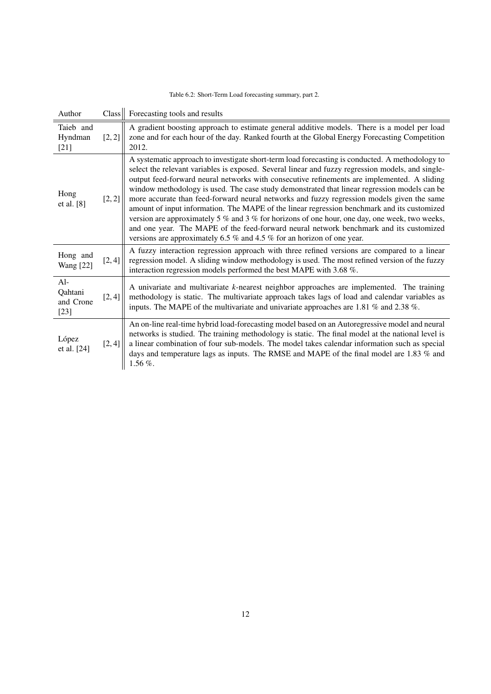| Table 6.2: Short-Term Load forecasting summary, part 2. |  |  |
|---------------------------------------------------------|--|--|
|---------------------------------------------------------|--|--|

<span id="page-11-0"></span>

| Author                                  | Class  | Forecasting tools and results                                                                                                                                                                                                                                                                                                                                                                                                                                                                                                                                                                                                                                                                                                                                                                                                                                                     |
|-----------------------------------------|--------|-----------------------------------------------------------------------------------------------------------------------------------------------------------------------------------------------------------------------------------------------------------------------------------------------------------------------------------------------------------------------------------------------------------------------------------------------------------------------------------------------------------------------------------------------------------------------------------------------------------------------------------------------------------------------------------------------------------------------------------------------------------------------------------------------------------------------------------------------------------------------------------|
| Taieb and<br>Hyndman<br>$[21]$          | [2, 2] | A gradient boosting approach to estimate general additive models. There is a model per load<br>zone and for each hour of the day. Ranked fourth at the Global Energy Forecasting Competition<br>2012.                                                                                                                                                                                                                                                                                                                                                                                                                                                                                                                                                                                                                                                                             |
| Hong<br>et al. [8]                      | [2, 2] | A systematic approach to investigate short-term load forecasting is conducted. A methodology to<br>select the relevant variables is exposed. Several linear and fuzzy regression models, and single-<br>output feed-forward neural networks with consecutive refinements are implemented. A sliding<br>window methodology is used. The case study demonstrated that linear regression models can be<br>more accurate than feed-forward neural networks and fuzzy regression models given the same<br>amount of input information. The MAPE of the linear regression benchmark and its customized<br>version are approximately 5 $\%$ and 3 $\%$ for horizons of one hour, one day, one week, two weeks,<br>and one year. The MAPE of the feed-forward neural network benchmark and its customized<br>versions are approximately 6.5 $\%$ and 4.5 $\%$ for an horizon of one year. |
| Hong and<br><b>Wang</b> [22]            | [2, 4] | A fuzzy interaction regression approach with three refined versions are compared to a linear<br>regression model. A sliding window methodology is used. The most refined version of the fuzzy<br>interaction regression models performed the best MAPE with 3.68 %.                                                                                                                                                                                                                                                                                                                                                                                                                                                                                                                                                                                                               |
| $Al-$<br>Qahtani<br>and Crone<br>$[23]$ | [2, 4] | A univariate and multivariate k-nearest neighbor approaches are implemented. The training<br>methodology is static. The multivariate approach takes lags of load and calendar variables as<br>inputs. The MAPE of the multivariate and univariate approaches are 1.81 $\%$ and 2.38 $\%$ .                                                                                                                                                                                                                                                                                                                                                                                                                                                                                                                                                                                        |
| López<br>et al. [24]                    | [2, 4] | An on-line real-time hybrid load-forecasting model based on an Autoregressive model and neural<br>networks is studied. The training methodology is static. The final model at the national level is<br>a linear combination of four sub-models. The model takes calendar information such as special<br>days and temperature lags as inputs. The RMSE and MAPE of the final model are 1.83 % and<br>$1.56\%$ .                                                                                                                                                                                                                                                                                                                                                                                                                                                                    |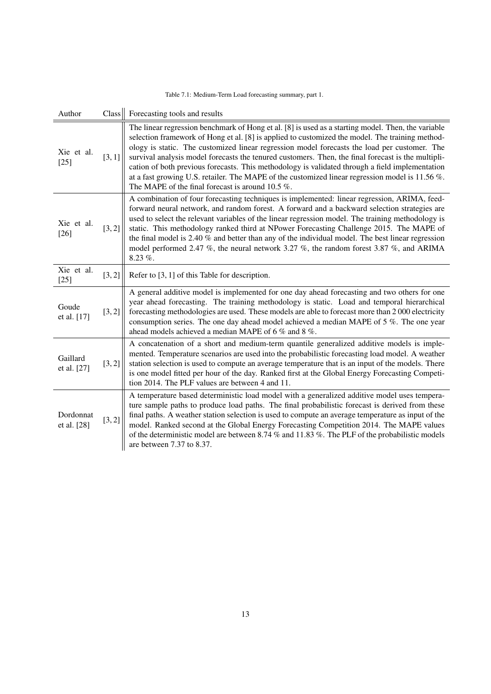| Table 7.1: Medium-Term Load forecasting summary, part 1. |  |  |
|----------------------------------------------------------|--|--|
|----------------------------------------------------------|--|--|

<span id="page-12-0"></span>

| Author                   | Class  | Forecasting tools and results                                                                                                                                                                                                                                                                                                                                                                                                                                                                                                                                                                                                                                             |
|--------------------------|--------|---------------------------------------------------------------------------------------------------------------------------------------------------------------------------------------------------------------------------------------------------------------------------------------------------------------------------------------------------------------------------------------------------------------------------------------------------------------------------------------------------------------------------------------------------------------------------------------------------------------------------------------------------------------------------|
| Xie et al.<br>$[25]$     | [3, 1] | The linear regression benchmark of Hong et al. [8] is used as a starting model. Then, the variable<br>selection framework of Hong et al. [8] is applied to customized the model. The training method-<br>ology is static. The customized linear regression model forecasts the load per customer. The<br>survival analysis model forecasts the tenured customers. Then, the final forecast is the multipli-<br>cation of both previous forecasts. This methodology is validated through a field implementation<br>at a fast growing U.S. retailer. The MAPE of the customized linear regression model is 11.56 %.<br>The MAPE of the final forecast is around 10.5 $\%$ . |
| Xie et al.<br>$[26]$     | [3, 2] | A combination of four forecasting techniques is implemented: linear regression, ARIMA, feed-<br>forward neural network, and random forest. A forward and a backward selection strategies are<br>used to select the relevant variables of the linear regression model. The training methodology is<br>static. This methodology ranked third at NPower Forecasting Challenge 2015. The MAPE of<br>the final model is 2.40 % and better than any of the individual model. The best linear regression<br>model performed 2.47 %, the neural network 3.27 %, the random forest 3.87 %, and ARIMA<br>8.23 %.                                                                    |
| Xie et al.<br>$[25]$     | [3, 2] | Refer to $[3, 1]$ of this Table for description.                                                                                                                                                                                                                                                                                                                                                                                                                                                                                                                                                                                                                          |
| Goude<br>et al. [17]     | [3, 2] | A general additive model is implemented for one day ahead forecasting and two others for one<br>year ahead forecasting. The training methodology is static. Load and temporal hierarchical<br>forecasting methodologies are used. These models are able to forecast more than 2000 electricity<br>consumption series. The one day ahead model achieved a median MAPE of 5 %. The one year<br>ahead models achieved a median MAPE of 6 % and 8 %.                                                                                                                                                                                                                          |
| Gaillard<br>et al. [27]  | [3, 2] | A concatenation of a short and medium-term quantile generalized additive models is imple-<br>mented. Temperature scenarios are used into the probabilistic forecasting load model. A weather<br>station selection is used to compute an average temperature that is an input of the models. There<br>is one model fitted per hour of the day. Ranked first at the Global Energy Forecasting Competi-<br>tion 2014. The PLF values are between 4 and 11.                                                                                                                                                                                                                   |
| Dordonnat<br>et al. [28] | [3, 2] | A temperature based deterministic load model with a generalized additive model uses tempera-<br>ture sample paths to produce load paths. The final probabilistic forecast is derived from these<br>final paths. A weather station selection is used to compute an average temperature as input of the<br>model. Ranked second at the Global Energy Forecasting Competition 2014. The MAPE values<br>of the deterministic model are between 8.74 % and 11.83 %. The PLF of the probabilistic models<br>are between 7.37 to 8.37.                                                                                                                                           |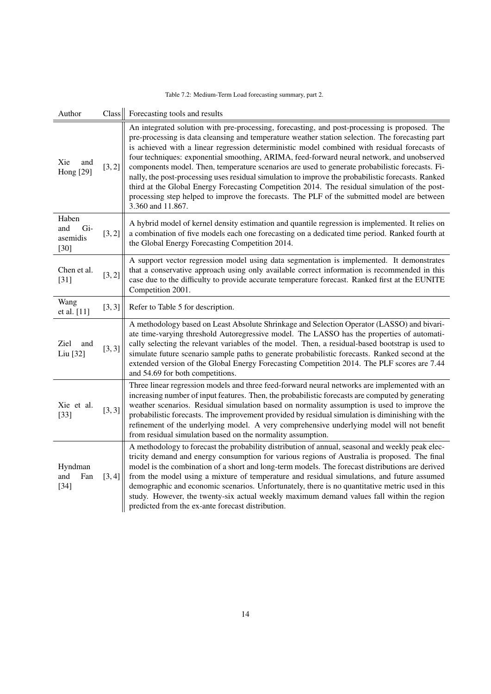|  | Table 7.2: Medium-Term Load forecasting summary, part 2. |  |
|--|----------------------------------------------------------|--|
|--|----------------------------------------------------------|--|

<span id="page-13-0"></span>

| Author                                    | Class  | Forecasting tools and results                                                                                                                                                                                                                                                                                                                                                                                                                                                                                                                                                                                                                                                                                                                                                                                                 |
|-------------------------------------------|--------|-------------------------------------------------------------------------------------------------------------------------------------------------------------------------------------------------------------------------------------------------------------------------------------------------------------------------------------------------------------------------------------------------------------------------------------------------------------------------------------------------------------------------------------------------------------------------------------------------------------------------------------------------------------------------------------------------------------------------------------------------------------------------------------------------------------------------------|
| Xie<br>and<br><b>Hong</b> [29]            | [3, 2] | An integrated solution with pre-processing, forecasting, and post-processing is proposed. The<br>pre-processing is data cleansing and temperature weather station selection. The forecasting part<br>is achieved with a linear regression deterministic model combined with residual forecasts of<br>four techniques: exponential smoothing, ARIMA, feed-forward neural network, and unobserved<br>components model. Then, temperature scenarios are used to generate probabilistic forecasts. Fi-<br>nally, the post-processing uses residual simulation to improve the probabilistic forecasts. Ranked<br>third at the Global Energy Forecasting Competition 2014. The residual simulation of the post-<br>processing step helped to improve the forecasts. The PLF of the submitted model are between<br>3.360 and 11.867. |
| Haben<br>Gi-<br>and<br>asemidis<br>$[30]$ | [3, 2] | A hybrid model of kernel density estimation and quantile regression is implemented. It relies on<br>a combination of five models each one forecasting on a dedicated time period. Ranked fourth at<br>the Global Energy Forecasting Competition 2014.                                                                                                                                                                                                                                                                                                                                                                                                                                                                                                                                                                         |
| Chen et al.<br>$[31]$                     | [3, 2] | A support vector regression model using data segmentation is implemented. It demonstrates<br>that a conservative approach using only available correct information is recommended in this<br>case due to the difficulty to provide accurate temperature forecast. Ranked first at the EUNITE<br>Competition 2001.                                                                                                                                                                                                                                                                                                                                                                                                                                                                                                             |
| Wang<br>et al. [11]                       | [3, 3] | Refer to Table 5 for description.                                                                                                                                                                                                                                                                                                                                                                                                                                                                                                                                                                                                                                                                                                                                                                                             |
| Ziel<br>and<br>Liu [32]                   | [3, 3] | A methodology based on Least Absolute Shrinkage and Selection Operator (LASSO) and bivari-<br>ate time-varying threshold Autoregressive model. The LASSO has the properties of automati-<br>cally selecting the relevant variables of the model. Then, a residual-based bootstrap is used to<br>simulate future scenario sample paths to generate probabilistic forecasts. Ranked second at the<br>extended version of the Global Energy Forecasting Competition 2014. The PLF scores are 7.44<br>and 54.69 for both competitions.                                                                                                                                                                                                                                                                                            |
| Xie et al.<br>$[33]$                      | [3, 3] | Three linear regression models and three feed-forward neural networks are implemented with an<br>increasing number of input features. Then, the probabilistic forecasts are computed by generating<br>weather scenarios. Residual simulation based on normality assumption is used to improve the<br>probabilistic forecasts. The improvement provided by residual simulation is diminishing with the<br>refinement of the underlying model. A very comprehensive underlying model will not benefit<br>from residual simulation based on the normality assumption.                                                                                                                                                                                                                                                            |
| Hyndman<br>and<br>Fan<br>$[34]$           | [3, 4] | A methodology to forecast the probability distribution of annual, seasonal and weekly peak elec-<br>tricity demand and energy consumption for various regions of Australia is proposed. The final<br>model is the combination of a short and long-term models. The forecast distributions are derived<br>from the model using a mixture of temperature and residual simulations, and future assumed<br>demographic and economic scenarios. Unfortunately, there is no quantitative metric used in this<br>study. However, the twenty-six actual weekly maximum demand values fall within the region<br>predicted from the ex-ante forecast distribution.                                                                                                                                                                      |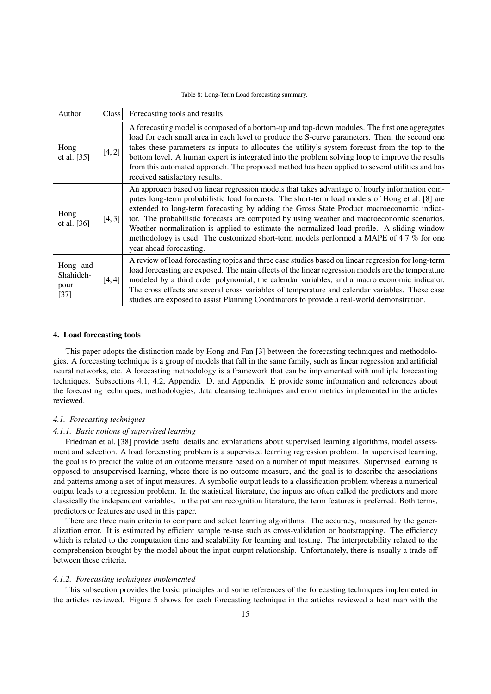Table 8: Long-Term Load forecasting summary.

<span id="page-14-0"></span>

| Author                                  | Class <sub>l</sub> | Forecasting tools and results                                                                                                                                                                                                                                                                                                                                                                                                                                                                                                                                                                                    |
|-----------------------------------------|--------------------|------------------------------------------------------------------------------------------------------------------------------------------------------------------------------------------------------------------------------------------------------------------------------------------------------------------------------------------------------------------------------------------------------------------------------------------------------------------------------------------------------------------------------------------------------------------------------------------------------------------|
| Hong<br>et al. [35]                     | [4, 2]             | A forecasting model is composed of a bottom-up and top-down modules. The first one aggregates<br>load for each small area in each level to produce the S-curve parameters. Then, the second one<br>takes these parameters as inputs to allocates the utility's system forecast from the top to the<br>bottom level. A human expert is integrated into the problem solving loop to improve the results<br>from this automated approach. The proposed method has been applied to several utilities and has<br>received satisfactory results.                                                                       |
| Hong<br>et al. [36]                     | [4,3]              | An approach based on linear regression models that takes advantage of hourly information com-<br>putes long-term probabilistic load forecasts. The short-term load models of Hong et al. [8] are<br>extended to long-term forecasting by adding the Gross State Product macroeconomic indica-<br>tor. The probabilistic forecasts are computed by using weather and macroeconomic scenarios.<br>Weather normalization is applied to estimate the normalized load profile. A sliding window<br>methodology is used. The customized short-term models performed a MAPE of 4.7 % for one<br>year ahead forecasting. |
| Hong and<br>Shahideh-<br>pour<br>$[37]$ | [4, 4]             | A review of load forecasting topics and three case studies based on linear regression for long-term<br>load forecasting are exposed. The main effects of the linear regression models are the temperature<br>modeled by a third order polynomial, the calendar variables, and a macro economic indicator.<br>The cross effects are several cross variables of temperature and calendar variables. These case<br>studies are exposed to assist Planning Coordinators to provide a real-world demonstration.                                                                                                       |

#### <span id="page-14-1"></span>4. Load forecasting tools

This paper adopts the distinction made by Hong and Fan [\[3\]](#page-24-2) between the forecasting techniques and methodologies. A forecasting technique is a group of models that fall in the same family, such as linear regression and artificial neural networks, etc. A forecasting methodology is a framework that can be implemented with multiple forecasting techniques. Subsections [4.1,](#page-14-2) [4.2,](#page-18-0) [Appendix D,](#page-39-0) and [Appendix E](#page-40-0) provide some information and references about the forecasting techniques, methodologies, data cleansing techniques and error metrics implemented in the articles reviewed.

## <span id="page-14-2"></span>*4.1. Forecasting techniques*

#### *4.1.1. Basic notions of supervised learning*

 $\mathbf{r}$ 

Friedman et al. [\[38\]](#page-25-12) provide useful details and explanations about supervised learning algorithms, model assessment and selection. A load forecasting problem is a supervised learning regression problem. In supervised learning, the goal is to predict the value of an outcome measure based on a number of input measures. Supervised learning is opposed to unsupervised learning, where there is no outcome measure, and the goal is to describe the associations and patterns among a set of input measures. A symbolic output leads to a classification problem whereas a numerical output leads to a regression problem. In the statistical literature, the inputs are often called the predictors and more classically the independent variables. In the pattern recognition literature, the term features is preferred. Both terms, predictors or features are used in this paper.

There are three main criteria to compare and select learning algorithms. The accuracy, measured by the generalization error. It is estimated by efficient sample re-use such as cross-validation or bootstrapping. The efficiency which is related to the computation time and scalability for learning and testing. The interpretability related to the comprehension brought by the model about the input-output relationship. Unfortunately, there is usually a trade-off between these criteria.

#### *4.1.2. Forecasting techniques implemented*

This subsection provides the basic principles and some references of the forecasting techniques implemented in the articles reviewed. Figure [5](#page-15-0) shows for each forecasting technique in the articles reviewed a heat map with the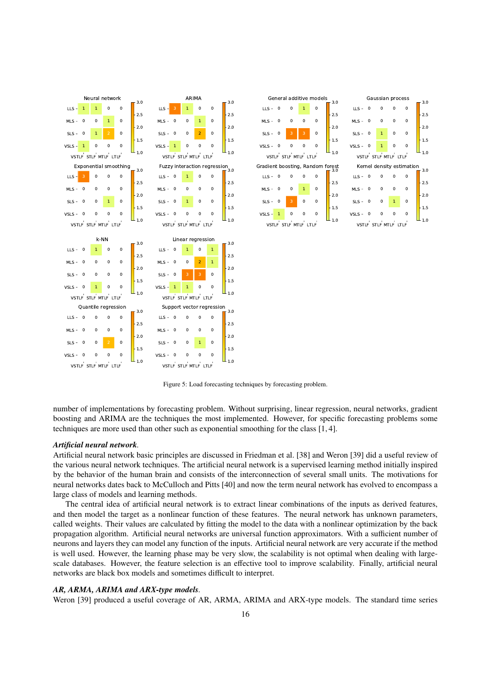<span id="page-15-0"></span>



Figure 5: Load forecasting techniques by forecasting problem.

number of implementations by forecasting problem. Without surprising, linear regression, neural networks, gradient boosting and ARIMA are the techniques the most implemented. However, for specific forecasting problems some techniques are more used than other such as exponential smoothing for the class [1, 4].

#### *Artificial neural network.*

Artificial neural network basic principles are discussed in Friedman et al. [\[38\]](#page-25-12) and Weron [\[39\]](#page-25-13) did a useful review of the various neural network techniques. The artificial neural network is a supervised learning method initially inspired by the behavior of the human brain and consists of the interconnection of several small units. The motivations for neural networks dates back to McCulloch and Pitts [\[40\]](#page-25-14) and now the term neural network has evolved to encompass a large class of models and learning methods.

The central idea of artificial neural network is to extract linear combinations of the inputs as derived features, and then model the target as a nonlinear function of these features. The neural network has unknown parameters, called weights. Their values are calculated by fitting the model to the data with a nonlinear optimization by the back propagation algorithm. Artificial neural networks are universal function approximators. With a sufficient number of neurons and layers they can model any function of the inputs. Artificial neural network are very accurate if the method is well used. However, the learning phase may be very slow, the scalability is not optimal when dealing with largescale databases. However, the feature selection is an effective tool to improve scalability. Finally, artificial neural networks are black box models and sometimes difficult to interpret.

#### *AR, ARMA, ARIMA and ARX-type models.*

Weron [\[39\]](#page-25-13) produced a useful coverage of AR, ARMA, ARIMA and ARX-type models. The standard time series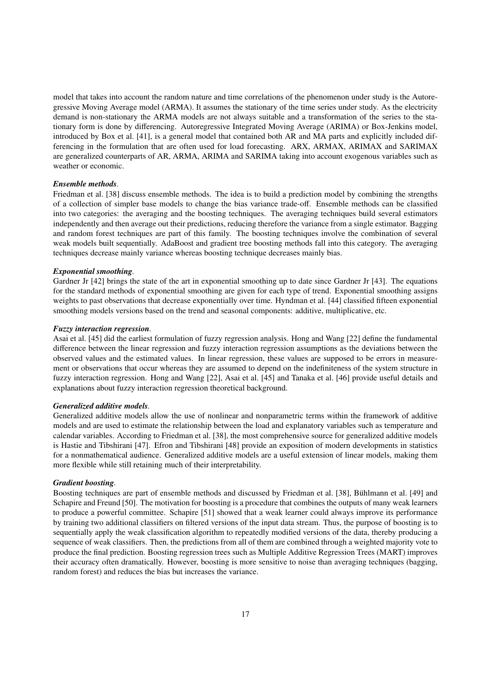model that takes into account the random nature and time correlations of the phenomenon under study is the Autoregressive Moving Average model (ARMA). It assumes the stationary of the time series under study. As the electricity demand is non-stationary the ARMA models are not always suitable and a transformation of the series to the stationary form is done by differencing. Autoregressive Integrated Moving Average (ARIMA) or Box-Jenkins model, introduced by Box et al. [\[41\]](#page-25-15), is a general model that contained both AR and MA parts and explicitly included differencing in the formulation that are often used for load forecasting. ARX, ARMAX, ARIMAX and SARIMAX are generalized counterparts of AR, ARMA, ARIMA and SARIMA taking into account exogenous variables such as weather or economic.

#### *Ensemble methods.*

Friedman et al. [\[38\]](#page-25-12) discuss ensemble methods. The idea is to build a prediction model by combining the strengths of a collection of simpler base models to change the bias variance trade-off. Ensemble methods can be classified into two categories: the averaging and the boosting techniques. The averaging techniques build several estimators independently and then average out their predictions, reducing therefore the variance from a single estimator. Bagging and random forest techniques are part of this family. The boosting techniques involve the combination of several weak models built sequentially. AdaBoost and gradient tree boosting methods fall into this category. The averaging techniques decrease mainly variance whereas boosting technique decreases mainly bias.

#### *Exponential smoothing.*

Gardner Jr [\[42\]](#page-25-16) brings the state of the art in exponential smoothing up to date since Gardner Jr [\[43\]](#page-25-17). The equations for the standard methods of exponential smoothing are given for each type of trend. Exponential smoothing assigns weights to past observations that decrease exponentially over time. Hyndman et al. [\[44\]](#page-25-18) classified fifteen exponential smoothing models versions based on the trend and seasonal components: additive, multiplicative, etc.

#### *Fuzzy interaction regression.*

Asai et al. [\[45\]](#page-25-19) did the earliest formulation of fuzzy regression analysis. Hong and Wang [\[22\]](#page-24-21) define the fundamental difference between the linear regression and fuzzy interaction regression assumptions as the deviations between the observed values and the estimated values. In linear regression, these values are supposed to be errors in measurement or observations that occur whereas they are assumed to depend on the indefiniteness of the system structure in fuzzy interaction regression. Hong and Wang [\[22\]](#page-24-21), Asai et al. [\[45\]](#page-25-19) and Tanaka et al. [\[46\]](#page-25-20) provide useful details and explanations about fuzzy interaction regression theoretical background.

#### *Generalized additive models.*

Generalized additive models allow the use of nonlinear and nonparametric terms within the framework of additive models and are used to estimate the relationship between the load and explanatory variables such as temperature and calendar variables. According to Friedman et al. [\[38\]](#page-25-12), the most comprehensive source for generalized additive models is Hastie and Tibshirani [\[47\]](#page-25-21). Efron and Tibshirani [\[48\]](#page-25-22) provide an exposition of modern developments in statistics for a nonmathematical audience. Generalized additive models are a useful extension of linear models, making them more flexible while still retaining much of their interpretability.

### *Gradient boosting.*

Boosting techniques are part of ensemble methods and discussed by Friedman et al. [\[38\]](#page-25-12), Bühlmann et al. [\[49\]](#page-25-23) and Schapire and Freund [\[50\]](#page-25-24). The motivation for boosting is a procedure that combines the outputs of many weak learners to produce a powerful committee. Schapire [\[51\]](#page-25-25) showed that a weak learner could always improve its performance by training two additional classifiers on filtered versions of the input data stream. Thus, the purpose of boosting is to sequentially apply the weak classification algorithm to repeatedly modified versions of the data, thereby producing a sequence of weak classifiers. Then, the predictions from all of them are combined through a weighted majority vote to produce the final prediction. Boosting regression trees such as Multiple Additive Regression Trees (MART) improves their accuracy often dramatically. However, boosting is more sensitive to noise than averaging techniques (bagging, random forest) and reduces the bias but increases the variance.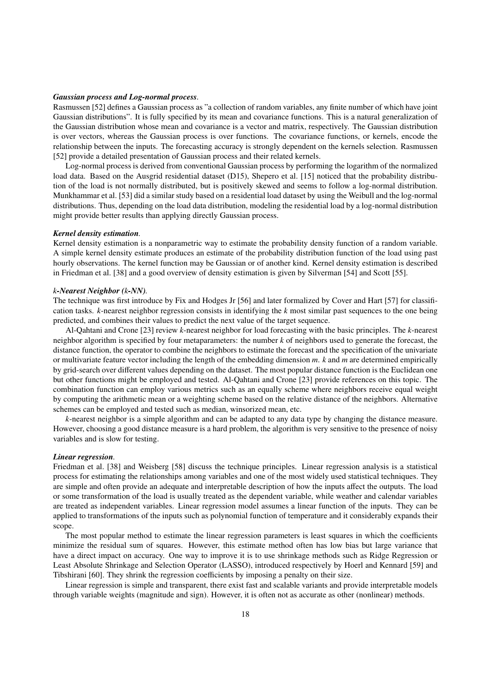#### *Gaussian process and Log-normal process.*

Rasmussen [\[52\]](#page-25-26) defines a Gaussian process as "a collection of random variables, any finite number of which have joint Gaussian distributions". It is fully specified by its mean and covariance functions. This is a natural generalization of the Gaussian distribution whose mean and covariance is a vector and matrix, respectively. The Gaussian distribution is over vectors, whereas the Gaussian process is over functions. The covariance functions, or kernels, encode the relationship between the inputs. The forecasting accuracy is strongly dependent on the kernels selection. Rasmussen [\[52\]](#page-25-26) provide a detailed presentation of Gaussian process and their related kernels.

Log-normal process is derived from conventional Gaussian process by performing the logarithm of the normalized load data. Based on the Ausgrid residential dataset [\(D15\)](#page-39-1), Shepero et al. [\[15\]](#page-24-14) noticed that the probability distribution of the load is not normally distributed, but is positively skewed and seems to follow a log-normal distribution. Munkhammar et al. [\[53\]](#page-25-27) did a similar study based on a residential load dataset by using the Weibull and the log-normal distributions. Thus, depending on the load data distribution, modeling the residential load by a log-normal distribution might provide better results than applying directly Gaussian process.

#### *Kernel density estimation.*

Kernel density estimation is a nonparametric way to estimate the probability density function of a random variable. A simple kernel density estimate produces an estimate of the probability distribution function of the load using past hourly observations. The kernel function may be Gaussian or of another kind. Kernel density estimation is described in Friedman et al. [\[38\]](#page-25-12) and a good overview of density estimation is given by Silverman [\[54\]](#page-25-28) and Scott [\[55\]](#page-25-29).

#### *k-Nearest Neighbor (k-NN).*

The technique was first introduce by Fix and Hodges Jr [\[56\]](#page-25-30) and later formalized by Cover and Hart [\[57\]](#page-25-31) for classification tasks. *k*-nearest neighbor regression consists in identifying the *k* most similar past sequences to the one being predicted, and combines their values to predict the next value of the target sequence.

Al-Qahtani and Crone [\[23\]](#page-24-22) review *k*-nearest neighbor for load forecasting with the basic principles. The *k*-nearest neighbor algorithm is specified by four metaparameters: the number *k* of neighbors used to generate the forecast, the distance function, the operator to combine the neighbors to estimate the forecast and the specification of the univariate or multivariate feature vector including the length of the embedding dimension *m*. *k* and *m* are determined empirically by grid-search over different values depending on the dataset. The most popular distance function is the Euclidean one but other functions might be employed and tested. Al-Qahtani and Crone [\[23\]](#page-24-22) provide references on this topic. The combination function can employ various metrics such as an equally scheme where neighbors receive equal weight by computing the arithmetic mean or a weighting scheme based on the relative distance of the neighbors. Alternative schemes can be employed and tested such as median, winsorized mean, etc.

*k*-nearest neighbor is a simple algorithm and can be adapted to any data type by changing the distance measure. However, choosing a good distance measure is a hard problem, the algorithm is very sensitive to the presence of noisy variables and is slow for testing.

#### *Linear regression.*

Friedman et al. [\[38\]](#page-25-12) and Weisberg [\[58\]](#page-25-32) discuss the technique principles. Linear regression analysis is a statistical process for estimating the relationships among variables and one of the most widely used statistical techniques. They are simple and often provide an adequate and interpretable description of how the inputs affect the outputs. The load or some transformation of the load is usually treated as the dependent variable, while weather and calendar variables are treated as independent variables. Linear regression model assumes a linear function of the inputs. They can be applied to transformations of the inputs such as polynomial function of temperature and it considerably expands their scope.

The most popular method to estimate the linear regression parameters is least squares in which the coefficients minimize the residual sum of squares. However, this estimate method often has low bias but large variance that have a direct impact on accuracy. One way to improve it is to use shrinkage methods such as Ridge Regression or Least Absolute Shrinkage and Selection Operator (LASSO), introduced respectively by Hoerl and Kennard [\[59\]](#page-25-33) and Tibshirani [\[60\]](#page-25-34). They shrink the regression coefficients by imposing a penalty on their size.

Linear regression is simple and transparent, there exist fast and scalable variants and provide interpretable models through variable weights (magnitude and sign). However, it is often not as accurate as other (nonlinear) methods.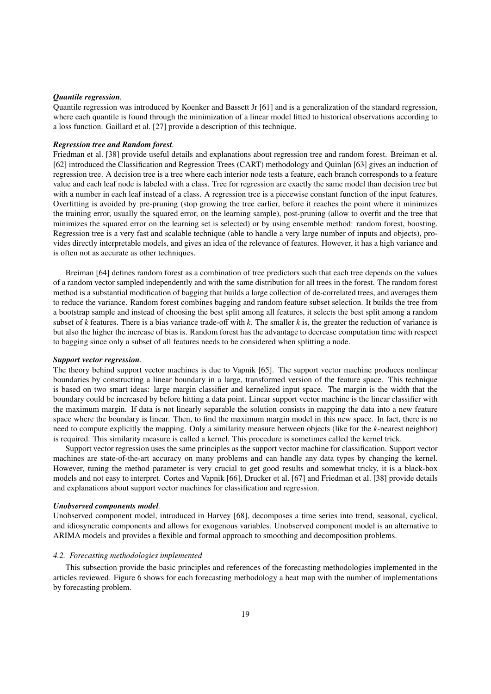#### *Quantile regression.*

Quantile regression was introduced by Koenker and Bassett Jr [\[61\]](#page-25-35) and is a generalization of the standard regression, where each quantile is found through the minimization of a linear model fitted to historical observations according to a loss function. Gaillard et al. [\[27\]](#page-25-1) provide a description of this technique.

#### *Regression tree and Random forest.*

Friedman et al. [\[38\]](#page-25-12) provide useful details and explanations about regression tree and random forest. Breiman et al. [\[62\]](#page-25-36) introduced the Classification and Regression Trees (CART) methodology and Quinlan [\[63\]](#page-25-37) gives an induction of regression tree. A decision tree is a tree where each interior node tests a feature, each branch corresponds to a feature value and each leaf node is labeled with a class. Tree for regression are exactly the same model than decision tree but with a number in each leaf instead of a class. A regression tree is a piecewise constant function of the input features. Overfitting is avoided by pre-pruning (stop growing the tree earlier, before it reaches the point where it minimizes the training error, usually the squared error, on the learning sample), post-pruning (allow to overfit and the tree that minimizes the squared error on the learning set is selected) or by using ensemble method: random forest, boosting. Regression tree is a very fast and scalable technique (able to handle a very large number of inputs and objects), provides directly interpretable models, and gives an idea of the relevance of features. However, it has a high variance and is often not as accurate as other techniques.

Breiman [\[64\]](#page-25-38) defines random forest as a combination of tree predictors such that each tree depends on the values of a random vector sampled independently and with the same distribution for all trees in the forest. The random forest method is a substantial modification of bagging that builds a large collection of de-correlated trees, and averages them to reduce the variance. Random forest combines bagging and random feature subset selection. It builds the tree from a bootstrap sample and instead of choosing the best split among all features, it selects the best split among a random subset of *k* features. There is a bias variance trade-off with *k*. The smaller *k* is, the greater the reduction of variance is but also the higher the increase of bias is. Random forest has the advantage to decrease computation time with respect to bagging since only a subset of all features needs to be considered when splitting a node.

#### *Support vector regression.*

The theory behind support vector machines is due to Vapnik [\[65\]](#page-25-39). The support vector machine produces nonlinear boundaries by constructing a linear boundary in a large, transformed version of the feature space. This technique is based on two smart ideas: large margin classifier and kernelized input space. The margin is the width that the boundary could be increased by before hitting a data point. Linear support vector machine is the linear classifier with the maximum margin. If data is not linearly separable the solution consists in mapping the data into a new feature space where the boundary is linear. Then, to find the maximum margin model in this new space. In fact, there is no need to compute explicitly the mapping. Only a similarity measure between objects (like for the *k*-nearest neighbor) is required. This similarity measure is called a kernel. This procedure is sometimes called the kernel trick.

Support vector regression uses the same principles as the support vector machine for classification. Support vector machines are state-of-the-art accuracy on many problems and can handle any data types by changing the kernel. However, tuning the method parameter is very crucial to get good results and somewhat tricky, it is a black-box models and not easy to interpret. Cortes and Vapnik [\[66\]](#page-25-40), Drucker et al. [\[67\]](#page-25-41) and Friedman et al. [\[38\]](#page-25-12) provide details and explanations about support vector machines for classification and regression.

#### *Unobserved components model.*

Unobserved component model, introduced in Harvey [\[68\]](#page-25-42), decomposes a time series into trend, seasonal, cyclical, and idiosyncratic components and allows for exogenous variables. Unobserved component model is an alternative to ARIMA models and provides a flexible and formal approach to smoothing and decomposition problems.

#### <span id="page-18-0"></span>*4.2. Forecasting methodologies implemented*

This subsection provide the basic principles and references of the forecasting methodologies implemented in the articles reviewed. Figure [6](#page-19-0) shows for each forecasting methodology a heat map with the number of implementations by forecasting problem.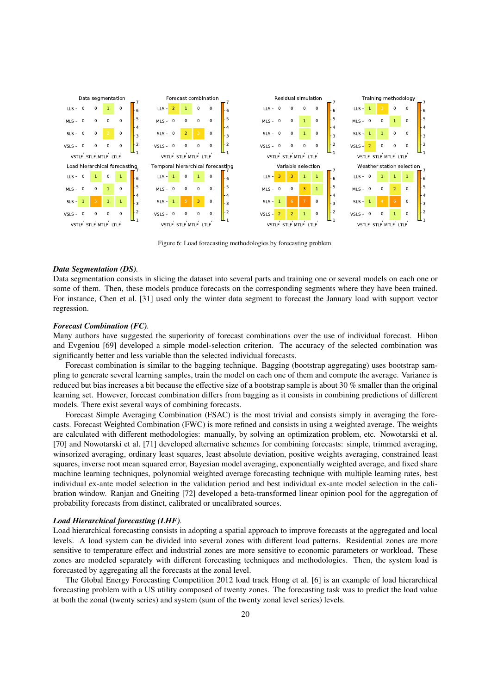<span id="page-19-0"></span>

Figure 6: Load forecasting methodologies by forecasting problem.

#### *Data Segmentation (DS).*

Data segmentation consists in slicing the dataset into several parts and training one or several models on each one or some of them. Then, these models produce forecasts on the corresponding segments where they have been trained. For instance, Chen et al. [\[31\]](#page-25-5) used only the winter data segment to forecast the January load with support vector regression.

#### *Forecast Combination (FC).*

Many authors have suggested the superiority of forecast combinations over the use of individual forecast. Hibon and Evgeniou [\[69\]](#page-25-43) developed a simple model-selection criterion. The accuracy of the selected combination was significantly better and less variable than the selected individual forecasts.

Forecast combination is similar to the bagging technique. Bagging (bootstrap aggregating) uses bootstrap sampling to generate several learning samples, train the model on each one of them and compute the average. Variance is reduced but bias increases a bit because the effective size of a bootstrap sample is about 30 % smaller than the original learning set. However, forecast combination differs from bagging as it consists in combining predictions of different models. There exist several ways of combining forecasts.

Forecast Simple Averaging Combination (FSAC) is the most trivial and consists simply in averaging the forecasts. Forecast Weighted Combination (FWC) is more refined and consists in using a weighted average. The weights are calculated with different methodologies: manually, by solving an optimization problem, etc. Nowotarski et al. [\[70\]](#page-25-44) and Nowotarski et al. [\[71\]](#page-25-45) developed alternative schemes for combining forecasts: simple, trimmed averaging, winsorized averaging, ordinary least squares, least absolute deviation, positive weights averaging, constrained least squares, inverse root mean squared error, Bayesian model averaging, exponentially weighted average, and fixed share machine learning techniques, polynomial weighted average forecasting technique with multiple learning rates, best individual ex-ante model selection in the validation period and best individual ex-ante model selection in the calibration window. Ranjan and Gneiting [\[72\]](#page-26-0) developed a beta-transformed linear opinion pool for the aggregation of probability forecasts from distinct, calibrated or uncalibrated sources.

#### *Load Hierarchical forecasting (LHF).*

Load hierarchical forecasting consists in adopting a spatial approach to improve forecasts at the aggregated and local levels. A load system can be divided into several zones with different load patterns. Residential zones are more sensitive to temperature effect and industrial zones are more sensitive to economic parameters or workload. These zones are modeled separately with different forecasting techniques and methodologies. Then, the system load is forecasted by aggregating all the forecasts at the zonal level.

The Global Energy Forecasting Competition 2012 load track Hong et al. [\[6\]](#page-24-5) is an example of load hierarchical forecasting problem with a US utility composed of twenty zones. The forecasting task was to predict the load value at both the zonal (twenty series) and system (sum of the twenty zonal level series) levels.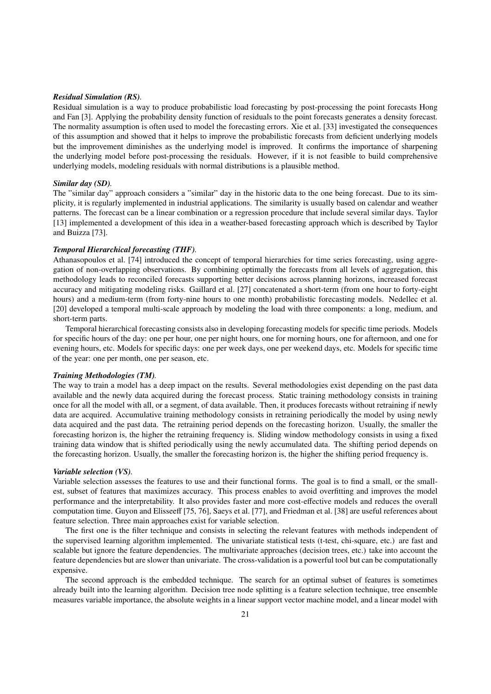#### *Residual Simulation (RS).*

Residual simulation is a way to produce probabilistic load forecasting by post-processing the point forecasts Hong and Fan [\[3\]](#page-24-2). Applying the probability density function of residuals to the point forecasts generates a density forecast. The normality assumption is often used to model the forecasting errors. Xie et al. [\[33\]](#page-25-7) investigated the consequences of this assumption and showed that it helps to improve the probabilistic forecasts from deficient underlying models but the improvement diminishes as the underlying model is improved. It confirms the importance of sharpening the underlying model before post-processing the residuals. However, if it is not feasible to build comprehensive underlying models, modeling residuals with normal distributions is a plausible method.

## *Similar day (SD).*

The "similar day" approach considers a "similar" day in the historic data to the one being forecast. Due to its simplicity, it is regularly implemented in industrial applications. The similarity is usually based on calendar and weather patterns. The forecast can be a linear combination or a regression procedure that include several similar days. Taylor [\[13\]](#page-24-12) implemented a development of this idea in a weather-based forecasting approach which is described by Taylor and Buizza [\[73\]](#page-26-1).

## *Temporal Hierarchical forecasting (THF).*

Athanasopoulos et al. [\[74\]](#page-26-2) introduced the concept of temporal hierarchies for time series forecasting, using aggregation of non-overlapping observations. By combining optimally the forecasts from all levels of aggregation, this methodology leads to reconciled forecasts supporting better decisions across planning horizons, increased forecast accuracy and mitigating modeling risks. Gaillard et al. [\[27\]](#page-25-1) concatenated a short-term (from one hour to forty-eight hours) and a medium-term (from forty-nine hours to one month) probabilistic forecasting models. Nedellec et al. [\[20\]](#page-24-19) developed a temporal multi-scale approach by modeling the load with three components: a long, medium, and short-term parts.

Temporal hierarchical forecasting consists also in developing forecasting models for specific time periods. Models for specific hours of the day: one per hour, one per night hours, one for morning hours, one for afternoon, and one for evening hours, etc. Models for specific days: one per week days, one per weekend days, etc. Models for specific time of the year: one per month, one per season, etc.

#### *Training Methodologies (TM).*

The way to train a model has a deep impact on the results. Several methodologies exist depending on the past data available and the newly data acquired during the forecast process. Static training methodology consists in training once for all the model with all, or a segment, of data available. Then, it produces forecasts without retraining if newly data are acquired. Accumulative training methodology consists in retraining periodically the model by using newly data acquired and the past data. The retraining period depends on the forecasting horizon. Usually, the smaller the forecasting horizon is, the higher the retraining frequency is. Sliding window methodology consists in using a fixed training data window that is shifted periodically using the newly accumulated data. The shifting period depends on the forecasting horizon. Usually, the smaller the forecasting horizon is, the higher the shifting period frequency is.

#### *Variable selection (VS).*

Variable selection assesses the features to use and their functional forms. The goal is to find a small, or the smallest, subset of features that maximizes accuracy. This process enables to avoid overfitting and improves the model performance and the interpretability. It also provides faster and more cost-effective models and reduces the overall computation time. Guyon and Elisseeff [\[75,](#page-26-3) [76\]](#page-26-4), Saeys et al. [\[77\]](#page-26-5), and Friedman et al. [\[38\]](#page-25-12) are useful references about feature selection. Three main approaches exist for variable selection.

The first one is the filter technique and consists in selecting the relevant features with methods independent of the supervised learning algorithm implemented. The univariate statistical tests (t-test, chi-square, etc.) are fast and scalable but ignore the feature dependencies. The multivariate approaches (decision trees, etc.) take into account the feature dependencies but are slower than univariate. The cross-validation is a powerful tool but can be computationally expensive.

The second approach is the embedded technique. The search for an optimal subset of features is sometimes already built into the learning algorithm. Decision tree node splitting is a feature selection technique, tree ensemble measures variable importance, the absolute weights in a linear support vector machine model, and a linear model with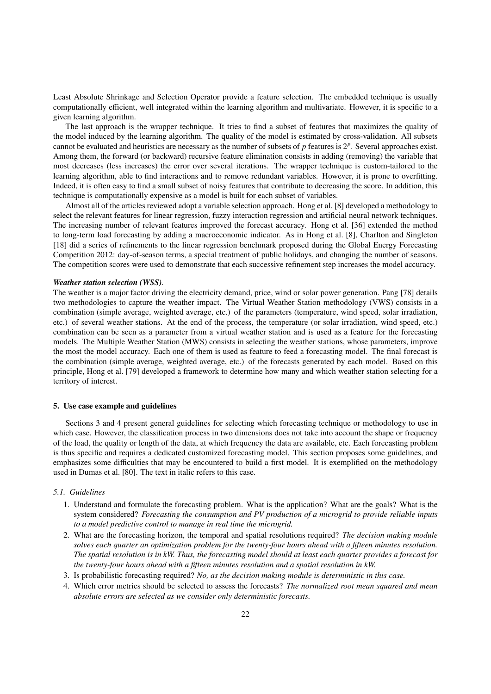Least Absolute Shrinkage and Selection Operator provide a feature selection. The embedded technique is usually computationally efficient, well integrated within the learning algorithm and multivariate. However, it is specific to a given learning algorithm.

The last approach is the wrapper technique. It tries to find a subset of features that maximizes the quality of the model induced by the learning algorithm. The quality of the model is estimated by cross-validation. All subsets cannot be evaluated and heuristics are necessary as the number of subsets of *p* features is 2*<sup>p</sup>* . Several approaches exist. Among them, the forward (or backward) recursive feature elimination consists in adding (removing) the variable that most decreases (less increases) the error over several iterations. The wrapper technique is custom-tailored to the learning algorithm, able to find interactions and to remove redundant variables. However, it is prone to overfitting. Indeed, it is often easy to find a small subset of noisy features that contribute to decreasing the score. In addition, this technique is computationally expensive as a model is built for each subset of variables.

Almost all of the articles reviewed adopt a variable selection approach. Hong et al. [\[8\]](#page-24-7) developed a methodology to select the relevant features for linear regression, fuzzy interaction regression and artificial neural network techniques. The increasing number of relevant features improved the forecast accuracy. Hong et al. [\[36\]](#page-25-10) extended the method to long-term load forecasting by adding a macroeconomic indicator. As in Hong et al. [\[8\]](#page-24-7), Charlton and Singleton [\[18\]](#page-24-17) did a series of refinements to the linear regression benchmark proposed during the Global Energy Forecasting Competition 2012: day-of-season terms, a special treatment of public holidays, and changing the number of seasons. The competition scores were used to demonstrate that each successive refinement step increases the model accuracy.

#### *Weather station selection (WSS).*

The weather is a major factor driving the electricity demand, price, wind or solar power generation. Pang [\[78\]](#page-26-6) details two methodologies to capture the weather impact. The Virtual Weather Station methodology (VWS) consists in a combination (simple average, weighted average, etc.) of the parameters (temperature, wind speed, solar irradiation, etc.) of several weather stations. At the end of the process, the temperature (or solar irradiation, wind speed, etc.) combination can be seen as a parameter from a virtual weather station and is used as a feature for the forecasting models. The Multiple Weather Station (MWS) consists in selecting the weather stations, whose parameters, improve the most the model accuracy. Each one of them is used as feature to feed a forecasting model. The final forecast is the combination (simple average, weighted average, etc.) of the forecasts generated by each model. Based on this principle, Hong et al. [\[79\]](#page-26-7) developed a framework to determine how many and which weather station selecting for a territory of interest.

#### <span id="page-21-0"></span>5. Use case example and guidelines

Sections [3](#page-5-0) and [4](#page-14-1) present general guidelines for selecting which forecasting technique or methodology to use in which case. However, the classification process in two dimensions does not take into account the shape or frequency of the load, the quality or length of the data, at which frequency the data are available, etc. Each forecasting problem is thus specific and requires a dedicated customized forecasting model. This section proposes some guidelines, and emphasizes some difficulties that may be encountered to build a first model. It is exemplified on the methodology used in Dumas et al. [\[80\]](#page-26-8). The text in italic refers to this case.

#### *5.1. Guidelines*

- 1. Understand and formulate the forecasting problem. What is the application? What are the goals? What is the system considered? *Forecasting the consumption and PV production of a microgrid to provide reliable inputs to a model predictive control to manage in real time the microgrid.*
- 2. What are the forecasting horizon, the temporal and spatial resolutions required? *The decision making module solves each quarter an optimization problem for the twenty-four hours ahead with a fifteen minutes resolution. The spatial resolution is in kW. Thus, the forecasting model should at least each quarter provides a forecast for the twenty-four hours ahead with a fifteen minutes resolution and a spatial resolution in kW.*
- 3. Is probabilistic forecasting required? *No, as the decision making module is deterministic in this case.*
- 4. Which error metrics should be selected to assess the forecasts? *The normalized root mean squared and mean absolute errors are selected as we consider only deterministic forecasts.*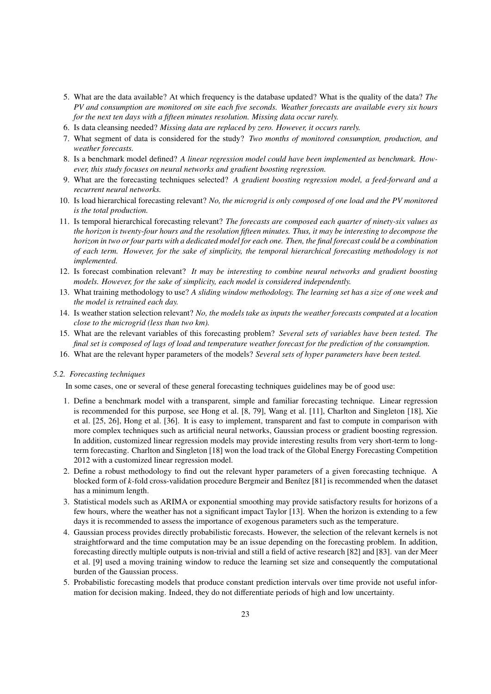- 5. What are the data available? At which frequency is the database updated? What is the quality of the data? *The PV and consumption are monitored on site each five seconds. Weather forecasts are available every six hours for the next ten days with a fifteen minutes resolution. Missing data occur rarely.*
- 6. Is data cleansing needed? *Missing data are replaced by zero. However, it occurs rarely.*
- 7. What segment of data is considered for the study? *Two months of monitored consumption, production, and weather forecasts.*
- 8. Is a benchmark model defined? *A linear regression model could have been implemented as benchmark. However, this study focuses on neural networks and gradient boosting regression.*
- 9. What are the forecasting techniques selected? *A gradient boosting regression model, a feed-forward and a recurrent neural networks.*
- 10. Is load hierarchical forecasting relevant? *No, the microgrid is only composed of one load and the PV monitored is the total production.*
- 11. Is temporal hierarchical forecasting relevant? *The forecasts are composed each quarter of ninety-six values as the horizon is twenty-four hours and the resolution fifteen minutes. Thus, it may be interesting to decompose the horizon in two or four parts with a dedicated model for each one. Then, the final forecast could be a combination of each term. However, for the sake of simplicity, the temporal hierarchical forecasting methodology is not implemented.*
- 12. Is forecast combination relevant? *It may be interesting to combine neural networks and gradient boosting models. However, for the sake of simplicity, each model is considered independently.*
- 13. What training methodology to use? *A sliding window methodology. The learning set has a size of one week and the model is retrained each day.*
- 14. Is weather station selection relevant? *No, the models take as inputs the weather forecasts computed at a location close to the microgrid (less than two km).*
- 15. What are the relevant variables of this forecasting problem? *Several sets of variables have been tested. The final set is composed of lags of load and temperature weather forecast for the prediction of the consumption.*
- 16. What are the relevant hyper parameters of the models? *Several sets of hyper parameters have been tested.*

#### *5.2. Forecasting techniques*

In some cases, one or several of these general forecasting techniques guidelines may be of good use:

- 1. Define a benchmark model with a transparent, simple and familiar forecasting technique. Linear regression is recommended for this purpose, see Hong et al. [\[8,](#page-24-7) [79\]](#page-26-7), Wang et al. [\[11\]](#page-24-10), Charlton and Singleton [\[18\]](#page-24-17), Xie et al. [\[25,](#page-24-24) [26\]](#page-25-0), Hong et al. [\[36\]](#page-25-10). It is easy to implement, transparent and fast to compute in comparison with more complex techniques such as artificial neural networks, Gaussian process or gradient boosting regression. In addition, customized linear regression models may provide interesting results from very short-term to longterm forecasting. Charlton and Singleton [\[18\]](#page-24-17) won the load track of the Global Energy Forecasting Competition 2012 with a customized linear regression model.
- 2. Define a robust methodology to find out the relevant hyper parameters of a given forecasting technique. A blocked form of *k*-fold cross-validation procedure Bergmeir and Benítez [\[81\]](#page-26-9) is recommended when the dataset has a minimum length.
- 3. Statistical models such as ARIMA or exponential smoothing may provide satisfactory results for horizons of a few hours, where the weather has not a significant impact Taylor [\[13\]](#page-24-12). When the horizon is extending to a few days it is recommended to assess the importance of exogenous parameters such as the temperature.
- 4. Gaussian process provides directly probabilistic forecasts. However, the selection of the relevant kernels is not straightforward and the time computation may be an issue depending on the forecasting problem. In addition, forecasting directly multiple outputs is non-trivial and still a field of active research [\[82\]](#page-26-10) and [\[83\]](#page-26-11). van der Meer et al. [\[9\]](#page-24-8) used a moving training window to reduce the learning set size and consequently the computational burden of the Gaussian process.
- 5. Probabilistic forecasting models that produce constant prediction intervals over time provide not useful information for decision making. Indeed, they do not differentiate periods of high and low uncertainty.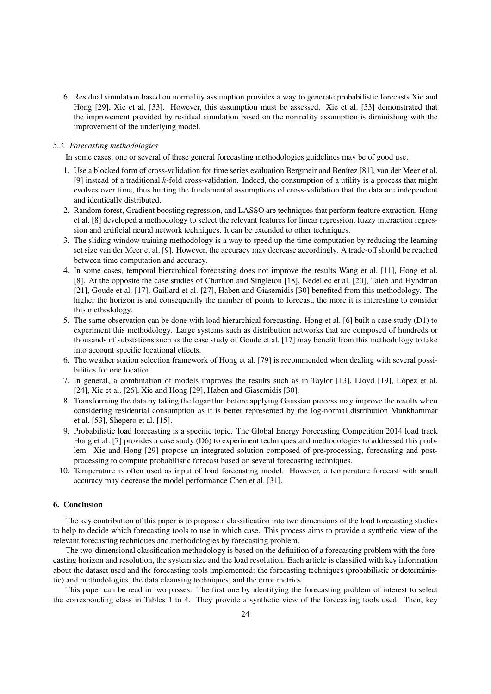6. Residual simulation based on normality assumption provides a way to generate probabilistic forecasts Xie and Hong [\[29\]](#page-25-3), Xie et al. [\[33\]](#page-25-7). However, this assumption must be assessed. Xie et al. [\[33\]](#page-25-7) demonstrated that the improvement provided by residual simulation based on the normality assumption is diminishing with the improvement of the underlying model.

#### *5.3. Forecasting methodologies*

In some cases, one or several of these general forecasting methodologies guidelines may be of good use.

- 1. Use a blocked form of cross-validation for time series evaluation Bergmeir and Benítez [\[81\]](#page-26-9), van der Meer et al. [\[9\]](#page-24-8) instead of a traditional *k*-fold cross-validation. Indeed, the consumption of a utility is a process that might evolves over time, thus hurting the fundamental assumptions of cross-validation that the data are independent and identically distributed.
- 2. Random forest, Gradient boosting regression, and LASSO are techniques that perform feature extraction. Hong et al. [\[8\]](#page-24-7) developed a methodology to select the relevant features for linear regression, fuzzy interaction regression and artificial neural network techniques. It can be extended to other techniques.
- 3. The sliding window training methodology is a way to speed up the time computation by reducing the learning set size van der Meer et al. [\[9\]](#page-24-8). However, the accuracy may decrease accordingly. A trade-off should be reached between time computation and accuracy.
- 4. In some cases, temporal hierarchical forecasting does not improve the results Wang et al. [\[11\]](#page-24-10), Hong et al. [\[8\]](#page-24-7). At the opposite the case studies of Charlton and Singleton [\[18\]](#page-24-17), Nedellec et al. [\[20\]](#page-24-19), Taieb and Hyndman [\[21\]](#page-24-20), Goude et al. [\[17\]](#page-24-16), Gaillard et al. [\[27\]](#page-25-1), Haben and Giasemidis [\[30\]](#page-25-4) benefited from this methodology. The higher the horizon is and consequently the number of points to forecast, the more it is interesting to consider this methodology.
- 5. The same observation can be done with load hierarchical forecasting. Hong et al. [\[6\]](#page-24-5) built a case study [\(D1\)](#page-38-1) to experiment this methodology. Large systems such as distribution networks that are composed of hundreds or thousands of substations such as the case study of Goude et al. [\[17\]](#page-24-16) may benefit from this methodology to take into account specific locational effects.
- 6. The weather station selection framework of Hong et al. [\[79\]](#page-26-7) is recommended when dealing with several possibilities for one location.
- 7. In general, a combination of models improves the results such as in Taylor [\[13\]](#page-24-12), Lloyd [\[19\]](#page-24-18), Lopez et al. ´ [\[24\]](#page-24-23), Xie et al. [\[26\]](#page-25-0), Xie and Hong [\[29\]](#page-25-3), Haben and Giasemidis [\[30\]](#page-25-4).
- 8. Transforming the data by taking the logarithm before applying Gaussian process may improve the results when considering residential consumption as it is better represented by the log-normal distribution Munkhammar et al. [\[53\]](#page-25-27), Shepero et al. [\[15\]](#page-24-14).
- 9. Probabilistic load forecasting is a specific topic. The Global Energy Forecasting Competition 2014 load track Hong et al. [\[7\]](#page-24-6) provides a case study [\(D6\)](#page-38-1) to experiment techniques and methodologies to addressed this problem. Xie and Hong [\[29\]](#page-25-3) propose an integrated solution composed of pre-processing, forecasting and postprocessing to compute probabilistic forecast based on several forecasting techniques.
- 10. Temperature is often used as input of load forecasting model. However, a temperature forecast with small accuracy may decrease the model performance Chen et al. [\[31\]](#page-25-5).

## 6. Conclusion

The key contribution of this paper is to propose a classification into two dimensions of the load forecasting studies to help to decide which forecasting tools to use in which case. This process aims to provide a synthetic view of the relevant forecasting techniques and methodologies by forecasting problem.

The two-dimensional classification methodology is based on the definition of a forecasting problem with the forecasting horizon and resolution, the system size and the load resolution. Each article is classified with key information about the dataset used and the forecasting tools implemented: the forecasting techniques (probabilistic or deterministic) and methodologies, the data cleansing techniques, and the error metrics.

This paper can be read in two passes. The first one by identifying the forecasting problem of interest to select the corresponding class in Tables [1](#page-5-1) to [4.](#page-8-0) They provide a synthetic view of the forecasting tools used. Then, key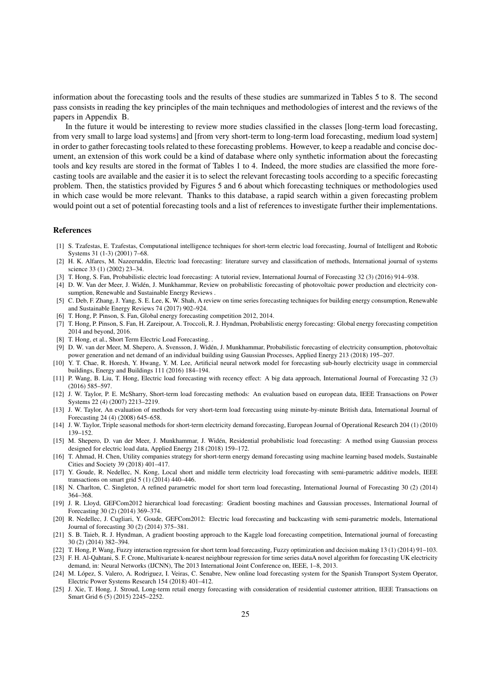information about the forecasting tools and the results of these studies are summarized in Tables [5](#page-9-0) to [8.](#page-14-0) The second pass consists in reading the key principles of the main techniques and methodologies of interest and the reviews of the papers in [Appendix B.](#page-28-0)

In the future it would be interesting to review more studies classified in the classes [long-term load forecasting, from very small to large load systems] and [from very short-term to long-term load forecasting, medium load system] in order to gather forecasting tools related to these forecasting problems. However, to keep a readable and concise document, an extension of this work could be a kind of database where only synthetic information about the forecasting tools and key results are stored in the format of Tables [1](#page-5-1) to [4.](#page-8-0) Indeed, the more studies are classified the more forecasting tools are available and the easier it is to select the relevant forecasting tools according to a specific forecasting problem. Then, the statistics provided by Figures [5](#page-15-0) and [6](#page-19-0) about which forecasting techniques or methodologies used in which case would be more relevant. Thanks to this database, a rapid search within a given forecasting problem would point out a set of potential forecasting tools and a list of references to investigate further their implementations.

#### References

- <span id="page-24-0"></span>[1] S. Tzafestas, E. Tzafestas, Computational intelligence techniques for short-term electric load forecasting, Journal of Intelligent and Robotic Systems 31 (1-3) (2001) 7–68.
- <span id="page-24-1"></span>[2] H. K. Alfares, M. Nazeeruddin, Electric load forecasting: literature survey and classification of methods, International journal of systems science 33 (1) (2002) 23–34.
- <span id="page-24-2"></span>[3] T. Hong, S. Fan, Probabilistic electric load forecasting: A tutorial review, International Journal of Forecasting 32 (3) (2016) 914–938.
- <span id="page-24-3"></span>[4] D. W. Van der Meer, J. Widen, J. Munkhammar, Review on probabilistic forecasting of photovoltaic power production and electricity con- ´ sumption, Renewable and Sustainable Energy Reviews .
- <span id="page-24-4"></span>[5] C. Deb, F. Zhang, J. Yang, S. E. Lee, K. W. Shah, A review on time series forecasting techniques for building energy consumption, Renewable and Sustainable Energy Reviews 74 (2017) 902–924.
- <span id="page-24-5"></span>[6] T. Hong, P. Pinson, S. Fan, Global energy forecasting competition 2012, 2014.
- <span id="page-24-6"></span>[7] T. Hong, P. Pinson, S. Fan, H. Zareipour, A. Troccoli, R. J. Hyndman, Probabilistic energy forecasting: Global energy forecasting competition 2014 and beyond, 2016.
- <span id="page-24-7"></span>[8] T. Hong, et al., Short Term Electric Load Forecasting. .
- <span id="page-24-8"></span>[9] D. W. van der Meer, M. Shepero, A. Svensson, J. Widen, J. Munkhammar, Probabilistic forecasting of electricity consumption, photovoltaic ´ power generation and net demand of an individual building using Gaussian Processes, Applied Energy 213 (2018) 195–207.
- <span id="page-24-9"></span>[10] Y. T. Chae, R. Horesh, Y. Hwang, Y. M. Lee, Artificial neural network model for forecasting sub-hourly electricity usage in commercial buildings, Energy and Buildings 111 (2016) 184–194.
- <span id="page-24-10"></span>[11] P. Wang, B. Liu, T. Hong, Electric load forecasting with recency effect: A big data approach, International Journal of Forecasting 32 (3) (2016) 585–597.
- <span id="page-24-11"></span>[12] J. W. Taylor, P. E. McSharry, Short-term load forecasting methods: An evaluation based on european data, IEEE Transactions on Power Systems 22 (4) (2007) 2213–2219.
- <span id="page-24-12"></span>[13] J. W. Taylor, An evaluation of methods for very short-term load forecasting using minute-by-minute British data, International Journal of Forecasting 24 (4) (2008) 645–658.
- <span id="page-24-13"></span>[14] J. W. Taylor, Triple seasonal methods for short-term electricity demand forecasting, European Journal of Operational Research 204 (1) (2010) 139–152.
- <span id="page-24-14"></span>[15] M. Shepero, D. van der Meer, J. Munkhammar, J. Widen, Residential probabilistic load forecasting: A method using Gaussian process ´ designed for electric load data, Applied Energy 218 (2018) 159–172.
- <span id="page-24-15"></span>[16] T. Ahmad, H. Chen, Utility companies strategy for short-term energy demand forecasting using machine learning based models, Sustainable Cities and Society 39 (2018) 401–417.
- <span id="page-24-16"></span>[17] Y. Goude, R. Nedellec, N. Kong, Local short and middle term electricity load forecasting with semi-parametric additive models, IEEE transactions on smart grid 5 (1) (2014) 440–446.
- <span id="page-24-17"></span>[18] N. Charlton, C. Singleton, A refined parametric model for short term load forecasting, International Journal of Forecasting 30 (2) (2014) 364–368.
- <span id="page-24-18"></span>[19] J. R. Lloyd, GEFCom2012 hierarchical load forecasting: Gradient boosting machines and Gaussian processes, International Journal of Forecasting 30 (2) (2014) 369–374.
- <span id="page-24-19"></span>[20] R. Nedellec, J. Cugliari, Y. Goude, GEFCom2012: Electric load forecasting and backcasting with semi-parametric models, International Journal of forecasting 30 (2) (2014) 375–381.
- <span id="page-24-20"></span>[21] S. B. Taieb, R. J. Hyndman, A gradient boosting approach to the Kaggle load forecasting competition, International journal of forecasting 30 (2) (2014) 382–394.
- <span id="page-24-21"></span>[22] T. Hong, P. Wang, Fuzzy interaction regression for short term load forecasting, Fuzzy optimization and decision making 13 (1) (2014) 91–103.
- <span id="page-24-22"></span>[23] F. H. Al-Qahtani, S. F. Crone, Multivariate k-nearest neighbour regression for time series dataA novel algorithm for forecasting UK electricity
- <span id="page-24-23"></span>demand, in: Neural Networks (IJCNN), The 2013 International Joint Conference on, IEEE, 1–8, 2013. [24] M. López, S. Valero, A. Rodriguez, I. Veiras, C. Senabre, New online load forecasting system for the Spanish Transport System Operator, Electric Power Systems Research 154 (2018) 401–412.
- <span id="page-24-24"></span>[25] J. Xie, T. Hong, J. Stroud, Long-term retail energy forecasting with consideration of residential customer attrition, IEEE Transactions on Smart Grid 6 (5) (2015) 2245–2252.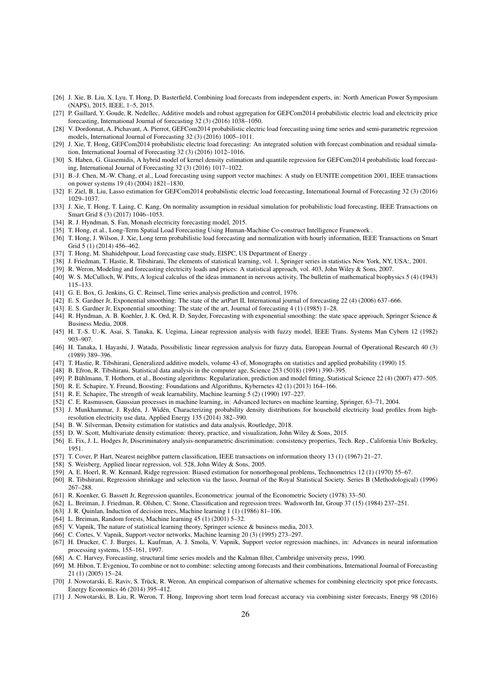- <span id="page-25-0"></span>[26] J. Xie, B. Liu, X. Lyu, T. Hong, D. Basterfield, Combining load forecasts from independent experts, in: North American Power Symposium (NAPS), 2015, IEEE, 1–5, 2015.
- <span id="page-25-1"></span>[27] P. Gaillard, Y. Goude, R. Nedellec, Additive models and robust aggregation for GEFCom2014 probabilistic electric load and electricity price forecasting, International Journal of forecasting 32 (3) (2016) 1038–1050.
- <span id="page-25-2"></span>[28] V. Dordonnat, A. Pichavant, A. Pierrot, GEFCom2014 probabilistic electric load forecasting using time series and semi-parametric regression models, International Journal of Forecasting 32 (3) (2016) 1005–1011.
- <span id="page-25-3"></span>[29] J. Xie, T. Hong, GEFCom2014 probabilistic electric load forecasting: An integrated solution with forecast combination and residual simulation, International Journal of Forecasting 32 (3) (2016) 1012–1016.
- <span id="page-25-4"></span>[30] S. Haben, G. Giasemidis, A hybrid model of kernel density estimation and quantile regression for GEFCom2014 probabilistic load forecasting, International Journal of Forecasting 32 (3) (2016) 1017–1022.
- <span id="page-25-5"></span>[31] B.-J. Chen, M.-W. Chang, et al., Load forecasting using support vector machines: A study on EUNITE competition 2001, IEEE transactions on power systems 19 (4) (2004) 1821–1830.
- <span id="page-25-6"></span>[32] F. Ziel, B. Liu, Lasso estimation for GEFCom2014 probabilistic electric load forecasting, International Journal of Forecasting 32 (3) (2016) 1029–1037.
- <span id="page-25-7"></span>[33] J. Xie, T. Hong, T. Laing, C. Kang, On normality assumption in residual simulation for probabilistic load forecasting, IEEE Transactions on Smart Grid 8 (3) (2017) 1046–1053.
- <span id="page-25-8"></span>[34] R. J. Hyndman, S. Fan, Monash electricity forecasting model, 2015.
- <span id="page-25-9"></span>[35] T. Hong, et al., Long-Term Spatial Load Forecasting Using Human-Machine Co-construct Intelligence Framework .
- <span id="page-25-10"></span>[36] T. Hong, J. Wilson, J. Xie, Long term probabilistic load forecasting and normalization with hourly information, IEEE Transactions on Smart Grid 5 (1) (2014) 456–462.
- <span id="page-25-11"></span>[37] T. Hong, M. Shahidehpour, Load forecasting case study, EISPC, US Department of Energy .
- <span id="page-25-12"></span>[38] J. Friedman, T. Hastie, R. Tibshirani, The elements of statistical learning, vol. 1, Springer series in statistics New York, NY, USA:, 2001.
- <span id="page-25-13"></span>[39] R. Weron, Modeling and forecasting electricity loads and prices: A statistical approach, vol. 403, John Wiley & Sons, 2007.
- <span id="page-25-14"></span>[40] W. S. McCulloch, W. Pitts, A logical calculus of the ideas immanent in nervous activity, The bulletin of mathematical biophysics 5 (4) (1943) 115–133.
- <span id="page-25-15"></span>[41] G. E. Box, G. Jenkins, G. C. Reinsel, Time series analysis prediction and control, 1976.
- <span id="page-25-16"></span>[42] E. S. Gardner Jr, Exponential smoothing: The state of the artPart II, International journal of forecasting 22 (4) (2006) 637–666.
- <span id="page-25-17"></span>[43] E. S. Gardner Jr, Exponential smoothing: The state of the art, Journal of forecasting 4 (1) (1985) 1–28.
- <span id="page-25-18"></span>[44] R. Hyndman, A. B. Koehler, J. K. Ord, R. D. Snyder, Forecasting with exponential smoothing: the state space approach, Springer Science & Business Media, 2008.
- <span id="page-25-19"></span>[45] H. T.-S. U.-K. Asai, S. Tanaka, K. Uegima, Linear regression analysis with fuzzy model, IEEE Trans. Systems Man Cybern 12 (1982) 903–907.
- <span id="page-25-20"></span>[46] H. Tanaka, I. Hayashi, J. Watada, Possibilistic linear regression analysis for fuzzy data, European Journal of Operational Research 40 (3) (1989) 389–396.
- <span id="page-25-21"></span>[47] T. Hastie, R. Tibshirani, Generalized additive models, volume 43 of, Monographs on statistics and applied probability (1990) 15.
- <span id="page-25-22"></span>[48] B. Efron, R. Tibshirani, Statistical data analysis in the computer age, Science 253 (5018) (1991) 390–395.
- <span id="page-25-23"></span>[49] P. Bühlmann, T. Hothorn, et al., Boosting algorithms: Regularization, prediction and model fitting, Statistical Science 22 (4) (2007) 477-505.
- <span id="page-25-24"></span>[50] R. E. Schapire, Y. Freund, Boosting: Foundations and Algorithms, Kybernetes 42 (1) (2013) 164–166.
- <span id="page-25-25"></span>[51] R. E. Schapire, The strength of weak learnability, Machine learning 5 (2) (1990) 197-227.
- <span id="page-25-26"></span>[52] C. E. Rasmussen, Gaussian processes in machine learning, in: Advanced lectures on machine learning, Springer, 63–71, 2004.
- <span id="page-25-27"></span>[53] J. Munkhammar, J. Rydén, J. Widén, Characterizing probability density distributions for household electricity load profiles from highresolution electricity use data, Applied Energy 135 (2014) 382–390.
- <span id="page-25-28"></span>[54] B. W. Silverman, Density estimation for statistics and data analysis, Routledge, 2018.
- <span id="page-25-29"></span>[55] D. W. Scott, Multivariate density estimation: theory, practice, and visualization, John Wiley & Sons, 2015.
- <span id="page-25-30"></span>[56] E. Fix, J. L. Hodges Jr, Discriminatory analysis-nonparametric discrimination: consistency properties, Tech. Rep., California Univ Berkeley, 1951.
- <span id="page-25-31"></span>[57] T. Cover, P. Hart, Nearest neighbor pattern classification, IEEE transactions on information theory 13 (1) (1967) 21–27.
- <span id="page-25-32"></span>[58] S. Weisberg, Applied linear regression, vol. 528, John Wiley & Sons, 2005.
- <span id="page-25-33"></span>[59] A. E. Hoerl, R. W. Kennard, Ridge regression: Biased estimation for nonorthogonal problems, Technometrics 12 (1) (1970) 55–67.
- <span id="page-25-34"></span>[60] R. Tibshirani, Regression shrinkage and selection via the lasso, Journal of the Royal Statistical Society. Series B (Methodological) (1996) 267–288.
- <span id="page-25-35"></span>[61] R. Koenker, G. Bassett Jr, Regression quantiles, Econometrica: journal of the Econometric Society (1978) 33–50.
- <span id="page-25-36"></span>[62] L. Breiman, J. Friedman, R. Olshen, C. Stone, Classification and regression trees. Wadsworth Int, Group 37 (15) (1984) 237–251.
- <span id="page-25-37"></span>[63] J. R. Quinlan, Induction of decision trees, Machine learning 1 (1) (1986) 81–106.
- <span id="page-25-38"></span>[64] L. Breiman, Random forests, Machine learning 45 (1) (2001) 5–32.
- <span id="page-25-39"></span>[65] V. Vapnik, The nature of statistical learning theory, Springer science & business media, 2013.
- <span id="page-25-40"></span>[66] C. Cortes, V. Vapnik, Support-vector networks, Machine learning 20 (3) (1995) 273–297.
- <span id="page-25-41"></span>[67] H. Drucker, C. J. Burges, L. Kaufman, A. J. Smola, V. Vapnik, Support vector regression machines, in: Advances in neural information processing systems, 155–161, 1997.
- <span id="page-25-42"></span>[68] A. C. Harvey, Forecasting, structural time series models and the Kalman filter, Cambridge university press, 1990.
- <span id="page-25-43"></span>[69] M. Hibon, T. Evgeniou, To combine or not to combine: selecting among forecasts and their combinations, International Journal of Forecasting 21 (1) (2005) 15–24.
- <span id="page-25-44"></span>[70] J. Nowotarski, E. Raviv, S. Trück, R. Weron, An empirical comparison of alternative schemes for combining electricity spot price forecasts, Energy Economics 46 (2014) 395–412.
- <span id="page-25-45"></span>[71] J. Nowotarski, B. Liu, R. Weron, T. Hong, Improving short term load forecast accuracy via combining sister forecasts, Energy 98 (2016)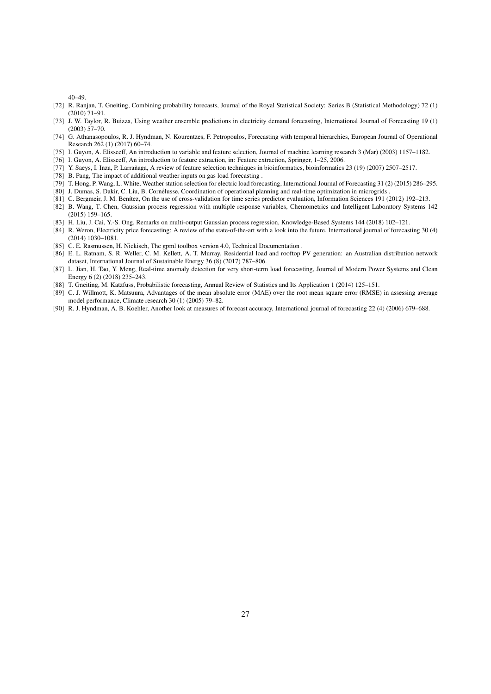40–49.

- <span id="page-26-0"></span>[72] R. Ranjan, T. Gneiting, Combining probability forecasts, Journal of the Royal Statistical Society: Series B (Statistical Methodology) 72 (1) (2010) 71–91.
- <span id="page-26-1"></span>[73] J. W. Taylor, R. Buizza, Using weather ensemble predictions in electricity demand forecasting, International Journal of Forecasting 19 (1) (2003) 57–70.
- <span id="page-26-2"></span>[74] G. Athanasopoulos, R. J. Hyndman, N. Kourentzes, F. Petropoulos, Forecasting with temporal hierarchies, European Journal of Operational Research 262 (1) (2017) 60–74.
- <span id="page-26-3"></span>[75] I. Guyon, A. Elisseeff, An introduction to variable and feature selection, Journal of machine learning research 3 (Mar) (2003) 1157–1182.
- <span id="page-26-4"></span>[76] I. Guyon, A. Elisseeff, An introduction to feature extraction, in: Feature extraction, Springer, 1–25, 2006.
- <span id="page-26-5"></span>[77] Y. Saeys, I. Inza, P. Larrañaga, A review of feature selection techniques in bioinformatics, bioinformatics 23 (19) (2007) 2507-2517.
- <span id="page-26-6"></span>[78] B. Pang, The impact of additional weather inputs on gas load forecasting .
- <span id="page-26-7"></span>[79] T. Hong, P. Wang, L. White, Weather station selection for electric load forecasting, International Journal of Forecasting 31 (2) (2015) 286–295.
- <span id="page-26-8"></span>[80] J. Dumas, S. Dakir, C. Liu, B. Cornelusse, Coordination of operational planning and real-time optimization in microgrids . ´
- <span id="page-26-9"></span>[81] C. Bergmeir, J. M. Benítez, On the use of cross-validation for time series predictor evaluation, Information Sciences 191 (2012) 192–213.
- <span id="page-26-10"></span>[82] B. Wang, T. Chen, Gaussian process regression with multiple response variables, Chemometrics and Intelligent Laboratory Systems 142 (2015) 159–165.
- <span id="page-26-11"></span>[83] H. Liu, J. Cai, Y.-S. Ong, Remarks on multi-output Gaussian process regression, Knowledge-Based Systems 144 (2018) 102–121.
- <span id="page-26-12"></span>[84] R. Weron, Electricity price forecasting: A review of the state-of-the-art with a look into the future, International journal of forecasting 30 (4) (2014) 1030–1081.
- <span id="page-26-13"></span>[85] C. E. Rasmussen, H. Nickisch, The gpml toolbox version 4.0, Technical Documentation .
- <span id="page-26-14"></span>[86] E. L. Ratnam, S. R. Weller, C. M. Kellett, A. T. Murray, Residential load and rooftop PV generation: an Australian distribution network dataset, International Journal of Sustainable Energy 36 (8) (2017) 787–806.
- <span id="page-26-15"></span>[87] L. Jian, H. Tao, Y. Meng, Real-time anomaly detection for very short-term load forecasting, Journal of Modern Power Systems and Clean Energy 6 (2) (2018) 235–243.
- <span id="page-26-16"></span>[88] T. Gneiting, M. Katzfuss, Probabilistic forecasting, Annual Review of Statistics and Its Application 1 (2014) 125–151.
- <span id="page-26-17"></span>[89] C. J. Willmott, K. Matsuura, Advantages of the mean absolute error (MAE) over the root mean square error (RMSE) in assessing average model performance, Climate research 30 (1) (2005) 79–82.
- <span id="page-26-18"></span>[90] R. J. Hyndman, A. B. Koehler, Another look at measures of forecast accuracy, International journal of forecasting 22 (4) (2006) 679–688.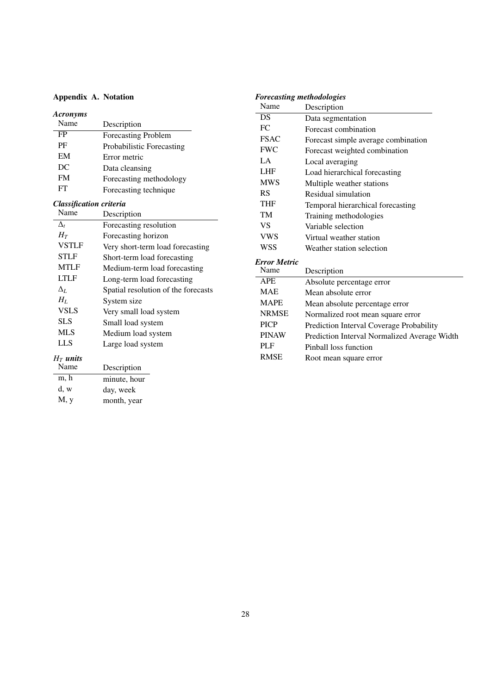## <span id="page-27-0"></span>Appendix A. Notation

| <b>Acronyms</b>                |                                  |
|--------------------------------|----------------------------------|
| Name                           | Description                      |
| FP                             | Forecasting Problem              |
| PF                             | Probabilistic Forecasting        |
| EM                             | Error metric                     |
| DC                             | Data cleansing                   |
| FM                             | Forecasting methodology          |
| FT                             | Forecasting technique            |
| <b>Classification criteria</b> |                                  |
| Name                           | Description                      |
| $\Delta_{t}$                   | Forecasting resolution           |
| $H_T$                          | Forecasting horizon              |
| <b>VSTLF</b>                   | Very short-term load forecasting |
| STLF                           | Short-term load forecasting      |
| <b>MTLF</b>                    | Medium-term load forecasting     |
| LTLF                           | Long-term load forecasting       |

Long-term load forecasting

 $\Delta_L$  Spatial resolution of the forecasts  $H_L$  System size

Large load system

| <b>Forecasting methodologies</b> |                                              |
|----------------------------------|----------------------------------------------|
| Name                             | Description                                  |
| DS                               | Data segmentation                            |
| FC                               | Forecast combination                         |
| <b>FSAC</b>                      | Forecast simple average combination          |
| <b>FWC</b>                       | Forecast weighted combination                |
| LA.                              | Local averaging                              |
| <b>LHF</b>                       | Load hierarchical forecasting                |
| <b>MWS</b>                       | Multiple weather stations                    |
| RS                               | Residual simulation                          |
| <b>THF</b>                       | Temporal hierarchical forecasting            |
| <b>TM</b>                        | Training methodologies                       |
| VS                               | Variable selection                           |
| <b>VWS</b>                       | Virtual weather station                      |
| <b>WSS</b>                       | Weather station selection                    |
| <b>Error Metric</b>              |                                              |
| Name                             | Description                                  |
| <b>APE</b>                       | Absolute percentage error                    |
| <b>MAE</b>                       | Mean absolute error                          |
| <b>MAPE</b>                      | Mean absolute percentage error               |
| <b>NRMSE</b>                     | Normalized root mean square error            |
| <b>PICP</b>                      | Prediction Interval Coverage Probability     |
| <b>PINAW</b>                     | Prediction Interval Normalized Average Width |
| PLF                              | Pinball loss function                        |
| <b>RMSE</b>                      | Root mean square error                       |

# $H_T$  *units*

| 11   WIVVO |              |
|------------|--------------|
| Name       | Description  |
| m, h       | minute, hour |
| d, w       | day, week    |
| M, y       | month, year  |

*H<sub>L</sub>* System size<br>VSLS Very small 1

VSLS Very small load system<br>SLS Small load system SLS Small load system<br>MLS Medium load syste MLS Medium load system<br>LLS Large load system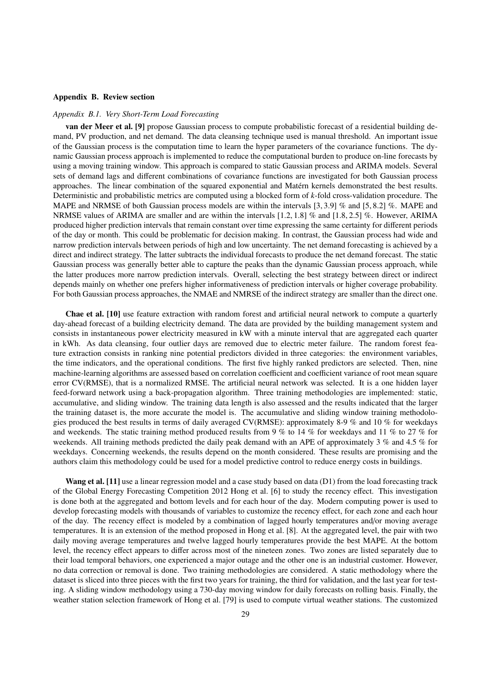#### <span id="page-28-0"></span>Appendix B. Review section

#### <span id="page-28-1"></span>*Appendix B.1. Very Short-Term Load Forecasting*

van der Meer et al. [\[9\]](#page-24-8) propose Gaussian process to compute probabilistic forecast of a residential building demand, PV production, and net demand. The data cleansing technique used is manual threshold. An important issue of the Gaussian process is the computation time to learn the hyper parameters of the covariance functions. The dynamic Gaussian process approach is implemented to reduce the computational burden to produce on-line forecasts by using a moving training window. This approach is compared to static Gaussian process and ARIMA models. Several sets of demand lags and different combinations of covariance functions are investigated for both Gaussian process approaches. The linear combination of the squared exponential and Matérn kernels demonstrated the best results. Deterministic and probabilistic metrics are computed using a blocked form of *k*-fold cross-validation procedure. The MAPE and NRMSE of both Gaussian process models are within the intervals [3, <sup>3</sup>.9] % and [5, <sup>8</sup>.2] %. MAPE and NRMSE values of ARIMA are smaller and are within the intervals [1.2, <sup>1</sup>.8] % and [1.8, <sup>2</sup>.5] %. However, ARIMA produced higher prediction intervals that remain constant over time expressing the same certainty for different periods of the day or month. This could be problematic for decision making. In contrast, the Gaussian process had wide and narrow prediction intervals between periods of high and low uncertainty. The net demand forecasting is achieved by a direct and indirect strategy. The latter subtracts the individual forecasts to produce the net demand forecast. The static Gaussian process was generally better able to capture the peaks than the dynamic Gaussian process approach, while the latter produces more narrow prediction intervals. Overall, selecting the best strategy between direct or indirect depends mainly on whether one prefers higher informativeness of prediction intervals or higher coverage probability. For both Gaussian process approaches, the NMAE and NMRSE of the indirect strategy are smaller than the direct one.

Chae et al. [\[10\]](#page-24-9) use feature extraction with random forest and artificial neural network to compute a quarterly day-ahead forecast of a building electricity demand. The data are provided by the building management system and consists in instantaneous power electricity measured in kW with a minute interval that are aggregated each quarter in kWh. As data cleansing, four outlier days are removed due to electric meter failure. The random forest feature extraction consists in ranking nine potential predictors divided in three categories: the environment variables, the time indicators, and the operational conditions. The first five highly ranked predictors are selected. Then, nine machine-learning algorithms are assessed based on correlation coefficient and coefficient variance of root mean square error CV(RMSE), that is a normalized RMSE. The artificial neural network was selected. It is a one hidden layer feed-forward network using a back-propagation algorithm. Three training methodologies are implemented: static, accumulative, and sliding window. The training data length is also assessed and the results indicated that the larger the training dataset is, the more accurate the model is. The accumulative and sliding window training methodologies produced the best results in terms of daily averaged CV(RMSE): approximately 8-9 % and 10 % for weekdays and weekends. The static training method produced results from 9 % to 14 % for weekdays and 11 % to 27 % for weekends. All training methods predicted the daily peak demand with an APE of approximately 3 % and 4.5 % for weekdays. Concerning weekends, the results depend on the month considered. These results are promising and the authors claim this methodology could be used for a model predictive control to reduce energy costs in buildings.

Wang et al. [\[11\]](#page-24-10) use a linear regression model and a case study based on data [\(D1\)](#page-38-1) from the load forecasting track of the Global Energy Forecasting Competition 2012 Hong et al. [\[6\]](#page-24-5) to study the recency effect. This investigation is done both at the aggregated and bottom levels and for each hour of the day. Modern computing power is used to develop forecasting models with thousands of variables to customize the recency effect, for each zone and each hour of the day. The recency effect is modeled by a combination of lagged hourly temperatures and/or moving average temperatures. It is an extension of the method proposed in Hong et al. [\[8\]](#page-24-7). At the aggregated level, the pair with two daily moving average temperatures and twelve lagged hourly temperatures provide the best MAPE. At the bottom level, the recency effect appears to differ across most of the nineteen zones. Two zones are listed separately due to their load temporal behaviors, one experienced a major outage and the other one is an industrial customer. However, no data correction or removal is done. Two training methodologies are considered. A static methodology where the dataset is sliced into three pieces with the first two years for training, the third for validation, and the last year for testing. A sliding window methodology using a 730-day moving window for daily forecasts on rolling basis. Finally, the weather station selection framework of Hong et al. [\[79\]](#page-26-7) is used to compute virtual weather stations. The customized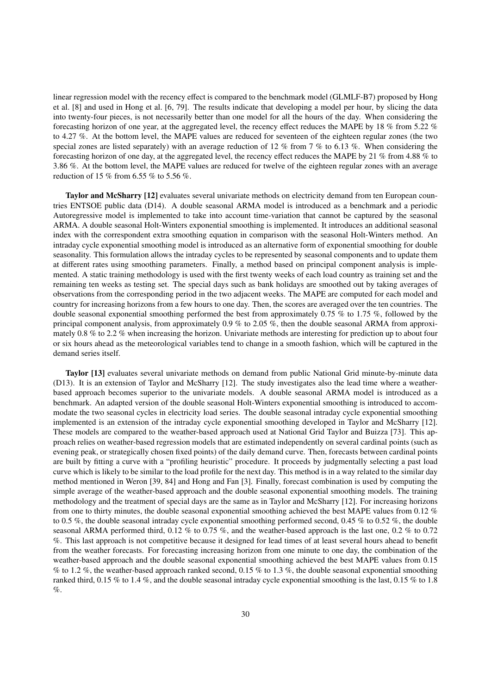linear regression model with the recency effect is compared to the benchmark model (GLMLF-B7) proposed by Hong et al. [\[8\]](#page-24-7) and used in Hong et al. [\[6,](#page-24-5) [79\]](#page-26-7). The results indicate that developing a model per hour, by slicing the data into twenty-four pieces, is not necessarily better than one model for all the hours of the day. When considering the forecasting horizon of one year, at the aggregated level, the recency effect reduces the MAPE by 18 % from 5.22 % to 4.27 %. At the bottom level, the MAPE values are reduced for seventeen of the eighteen regular zones (the two special zones are listed separately) with an average reduction of 12 % from 7 % to 6.13 %. When considering the forecasting horizon of one day, at the aggregated level, the recency effect reduces the MAPE by 21 % from 4.88 % to 3.86 %. At the bottom level, the MAPE values are reduced for twelve of the eighteen regular zones with an average reduction of 15 % from 6.55 % to 5.56 %.

Taylor and McSharry [\[12\]](#page-24-11) evaluates several univariate methods on electricity demand from ten European countries ENTSOE public data [\(D14\)](#page-39-1). A double seasonal ARMA model is introduced as a benchmark and a periodic Autoregressive model is implemented to take into account time-variation that cannot be captured by the seasonal ARMA. A double seasonal Holt-Winters exponential smoothing is implemented. It introduces an additional seasonal index with the correspondent extra smoothing equation in comparison with the seasonal Holt-Winters method. An intraday cycle exponential smoothing model is introduced as an alternative form of exponential smoothing for double seasonality. This formulation allows the intraday cycles to be represented by seasonal components and to update them at different rates using smoothing parameters. Finally, a method based on principal component analysis is implemented. A static training methodology is used with the first twenty weeks of each load country as training set and the remaining ten weeks as testing set. The special days such as bank holidays are smoothed out by taking averages of observations from the corresponding period in the two adjacent weeks. The MAPE are computed for each model and country for increasing horizons from a few hours to one day. Then, the scores are averaged over the ten countries. The double seasonal exponential smoothing performed the best from approximately 0.75 % to 1.75 %, followed by the principal component analysis, from approximately 0.9 % to 2.05 %, then the double seasonal ARMA from approximately 0.8 % to 2.2 % when increasing the horizon. Univariate methods are interesting for prediction up to about four or six hours ahead as the meteorological variables tend to change in a smooth fashion, which will be captured in the demand series itself.

Taylor [\[13\]](#page-24-12) evaluates several univariate methods on demand from public National Grid minute-by-minute data [\(D13\)](#page-39-1). It is an extension of Taylor and McSharry [\[12\]](#page-24-11). The study investigates also the lead time where a weatherbased approach becomes superior to the univariate models. A double seasonal ARMA model is introduced as a benchmark. An adapted version of the double seasonal Holt-Winters exponential smoothing is introduced to accommodate the two seasonal cycles in electricity load series. The double seasonal intraday cycle exponential smoothing implemented is an extension of the intraday cycle exponential smoothing developed in Taylor and McSharry [\[12\]](#page-24-11). These models are compared to the weather-based approach used at National Grid Taylor and Buizza [\[73\]](#page-26-1). This approach relies on weather-based regression models that are estimated independently on several cardinal points (such as evening peak, or strategically chosen fixed points) of the daily demand curve. Then, forecasts between cardinal points are built by fitting a curve with a "profiling heuristic" procedure. It proceeds by judgmentally selecting a past load curve which is likely to be similar to the load profile for the next day. This method is in a way related to the similar day method mentioned in Weron [\[39,](#page-25-13) [84\]](#page-26-12) and Hong and Fan [\[3\]](#page-24-2). Finally, forecast combination is used by computing the simple average of the weather-based approach and the double seasonal exponential smoothing models. The training methodology and the treatment of special days are the same as in Taylor and McSharry [\[12\]](#page-24-11). For increasing horizons from one to thirty minutes, the double seasonal exponential smoothing achieved the best MAPE values from 0.12 % to 0.5 %, the double seasonal intraday cycle exponential smoothing performed second, 0.45 % to 0.52 %, the double seasonal ARMA performed third, 0.12 % to 0.75 %, and the weather-based approach is the last one, 0.2 % to 0.72 %. This last approach is not competitive because it designed for lead times of at least several hours ahead to benefit from the weather forecasts. For forecasting increasing horizon from one minute to one day, the combination of the weather-based approach and the double seasonal exponential smoothing achieved the best MAPE values from 0.15 % to 1.2 %, the weather-based approach ranked second, 0.15 % to 1.3 %, the double seasonal exponential smoothing ranked third, 0.15 % to 1.4 %, and the double seasonal intraday cycle exponential smoothing is the last, 0.15 % to 1.8 %.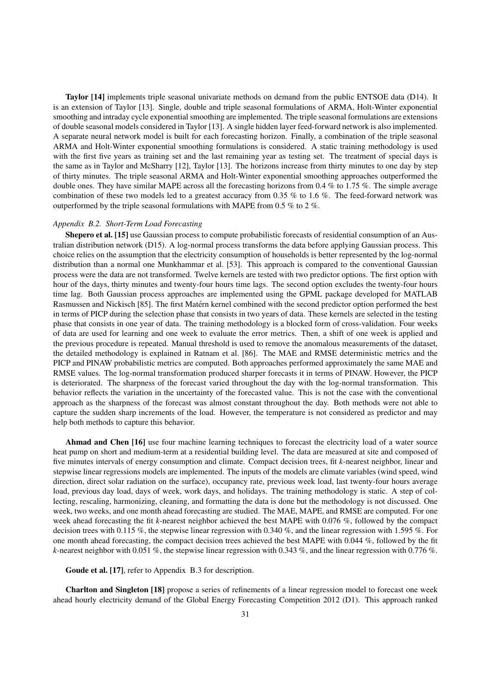Taylor [\[14\]](#page-24-13) implements triple seasonal univariate methods on demand from the public ENTSOE data [\(D14\)](#page-39-1). It is an extension of Taylor [\[13\]](#page-24-12). Single, double and triple seasonal formulations of ARMA, Holt-Winter exponential smoothing and intraday cycle exponential smoothing are implemented. The triple seasonal formulations are extensions of double seasonal models considered in Taylor [\[13\]](#page-24-12). A single hidden layer feed-forward network is also implemented. A separate neural network model is built for each forecasting horizon. Finally, a combination of the triple seasonal ARMA and Holt-Winter exponential smoothing formulations is considered. A static training methodology is used with the first five years as training set and the last remaining year as testing set. The treatment of special days is the same as in Taylor and McSharry [\[12\]](#page-24-11), Taylor [\[13\]](#page-24-12). The horizons increase from thirty minutes to one day by step of thirty minutes. The triple seasonal ARMA and Holt-Winter exponential smoothing approaches outperformed the double ones. They have similar MAPE across all the forecasting horizons from 0.4 % to 1.75 %. The simple average combination of these two models led to a greatest accuracy from 0.35 % to 1.6 %. The feed-forward network was outperformed by the triple seasonal formulations with MAPE from 0.5 % to 2 %.

#### *Appendix B.2. Short-Term Load Forecasting*

Shepero et al. [\[15\]](#page-24-14) use Gaussian process to compute probabilistic forecasts of residential consumption of an Australian distribution network [\(D15\)](#page-39-1). A log-normal process transforms the data before applying Gaussian process. This choice relies on the assumption that the electricity consumption of households is better represented by the log-normal distribution than a normal one Munkhammar et al. [\[53\]](#page-25-27). This approach is compared to the conventional Gaussian process were the data are not transformed. Twelve kernels are tested with two predictor options. The first option with hour of the days, thirty minutes and twenty-four hours time lags. The second option excludes the twenty-four hours time lag. Both Gaussian process approaches are implemented using the GPML package developed for MATLAB Rasmussen and Nickisch [\[85\]](#page-26-13). The first Matern kernel combined with the second predictor option performed the best ´ in terms of PICP during the selection phase that consists in two years of data. These kernels are selected in the testing phase that consists in one year of data. The training methodology is a blocked form of cross-validation. Four weeks of data are used for learning and one week to evaluate the error metrics. Then, a shift of one week is applied and the previous procedure is repeated. Manual threshold is used to remove the anomalous measurements of the dataset, the detailed methodology is explained in Ratnam et al. [\[86\]](#page-26-14). The MAE and RMSE deterministic metrics and the PICP and PINAW probabilistic metrics are computed. Both approaches performed approximately the same MAE and RMSE values. The log-normal transformation produced sharper forecasts it in terms of PINAW. However, the PICP is deteriorated. The sharpness of the forecast varied throughout the day with the log-normal transformation. This behavior reflects the variation in the uncertainty of the forecasted value. This is not the case with the conventional approach as the sharpness of the forecast was almost constant throughout the day. Both methods were not able to capture the sudden sharp increments of the load. However, the temperature is not considered as predictor and may help both methods to capture this behavior.

Ahmad and Chen [\[16\]](#page-24-15) use four machine learning techniques to forecast the electricity load of a water source heat pump on short and medium-term at a residential building level. The data are measured at site and composed of five minutes intervals of energy consumption and climate. Compact decision trees, fit *k*-nearest neighbor, linear and stepwise linear regressions models are implemented. The inputs of the models are climate variables (wind speed, wind direction, direct solar radiation on the surface), occupancy rate, previous week load, last twenty-four hours average load, previous day load, days of week, work days, and holidays. The training methodology is static. A step of collecting, rescaling, harmonizing, cleaning, and formatting the data is done but the methodology is not discussed. One week, two weeks, and one month ahead forecasting are studied. The MAE, MAPE, and RMSE are computed. For one week ahead forecasting the fit *k*-nearest neighbor achieved the best MAPE with 0.076 %, followed by the compact decision trees with 0.115 %, the stepwise linear regression with 0.340 %, and the linear regression with 1.595 %. For one month ahead forecasting, the compact decision trees achieved the best MAPE with 0.044 %, followed by the fit *k*-nearest neighbor with 0.051 %, the stepwise linear regression with 0.343 %, and the linear regression with 0.776 %.

Goude et al. [\[17\]](#page-24-16), refer to [Appendix B.3](#page-33-0) for description.

Charlton and Singleton [\[18\]](#page-24-17) propose a series of refinements of a linear regression model to forecast one week ahead hourly electricity demand of the Global Energy Forecasting Competition 2012 [\(D1\)](#page-38-1). This approach ranked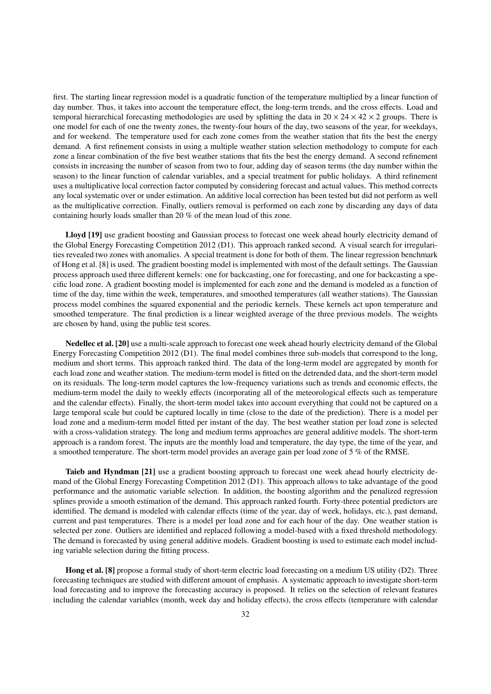first. The starting linear regression model is a quadratic function of the temperature multiplied by a linear function of day number. Thus, it takes into account the temperature effect, the long-term trends, and the cross effects. Load and temporal hierarchical forecasting methodologies are used by splitting the data in  $20 \times 24 \times 42 \times 2$  groups. There is one model for each of one the twenty zones, the twenty-four hours of the day, two seasons of the year, for weekdays, and for weekend. The temperature used for each zone comes from the weather station that fits the best the energy demand. A first refinement consists in using a multiple weather station selection methodology to compute for each zone a linear combination of the five best weather stations that fits the best the energy demand. A second refinement consists in increasing the number of season from two to four, adding day of season terms (the day number within the season) to the linear function of calendar variables, and a special treatment for public holidays. A third refinement uses a multiplicative local correction factor computed by considering forecast and actual values. This method corrects any local systematic over or under estimation. An additive local correction has been tested but did not perform as well as the multiplicative correction. Finally, outliers removal is performed on each zone by discarding any days of data containing hourly loads smaller than 20 % of the mean load of this zone.

Lloyd [\[19\]](#page-24-18) use gradient boosting and Gaussian process to forecast one week ahead hourly electricity demand of the Global Energy Forecasting Competition 2012 [\(D1\)](#page-38-1). This approach ranked second. A visual search for irregularities revealed two zones with anomalies. A special treatment is done for both of them. The linear regression benchmark of Hong et al. [\[8\]](#page-24-7) is used. The gradient boosting model is implemented with most of the default settings. The Gaussian process approach used three different kernels: one for backcasting, one for forecasting, and one for backcasting a specific load zone. A gradient boosting model is implemented for each zone and the demand is modeled as a function of time of the day, time within the week, temperatures, and smoothed temperatures (all weather stations). The Gaussian process model combines the squared exponential and the periodic kernels. These kernels act upon temperature and smoothed temperature. The final prediction is a linear weighted average of the three previous models. The weights are chosen by hand, using the public test scores.

Nedellec et al. [\[20\]](#page-24-19) use a multi-scale approach to forecast one week ahead hourly electricity demand of the Global Energy Forecasting Competition 2012 [\(D1\)](#page-38-1). The final model combines three sub-models that correspond to the long, medium and short terms. This approach ranked third. The data of the long-term model are aggregated by month for each load zone and weather station. The medium-term model is fitted on the detrended data, and the short-term model on its residuals. The long-term model captures the low-frequency variations such as trends and economic effects, the medium-term model the daily to weekly effects (incorporating all of the meteorological effects such as temperature and the calendar effects). Finally, the short-term model takes into account everything that could not be captured on a large temporal scale but could be captured locally in time (close to the date of the prediction). There is a model per load zone and a medium-term model fitted per instant of the day. The best weather station per load zone is selected with a cross-validation strategy. The long and medium terms approaches are general additive models. The short-term approach is a random forest. The inputs are the monthly load and temperature, the day type, the time of the year, and a smoothed temperature. The short-term model provides an average gain per load zone of 5 % of the RMSE.

Taieb and Hyndman [\[21\]](#page-24-20) use a gradient boosting approach to forecast one week ahead hourly electricity demand of the Global Energy Forecasting Competition 2012 [\(D1\)](#page-38-1). This approach allows to take advantage of the good performance and the automatic variable selection. In addition, the boosting algorithm and the penalized regression splines provide a smooth estimation of the demand. This approach ranked fourth. Forty-three potential predictors are identified. The demand is modeled with calendar effects (time of the year, day of week, holidays, etc.), past demand, current and past temperatures. There is a model per load zone and for each hour of the day. One weather station is selected per zone. Outliers are identified and replaced following a model-based with a fixed threshold methodology. The demand is forecasted by using general additive models. Gradient boosting is used to estimate each model including variable selection during the fitting process.

Hong et al. [\[8\]](#page-24-7) propose a formal study of short-term electric load forecasting on a medium US utility [\(D2\)](#page-38-1). Three forecasting techniques are studied with different amount of emphasis. A systematic approach to investigate short-term load forecasting and to improve the forecasting accuracy is proposed. It relies on the selection of relevant features including the calendar variables (month, week day and holiday effects), the cross effects (temperature with calendar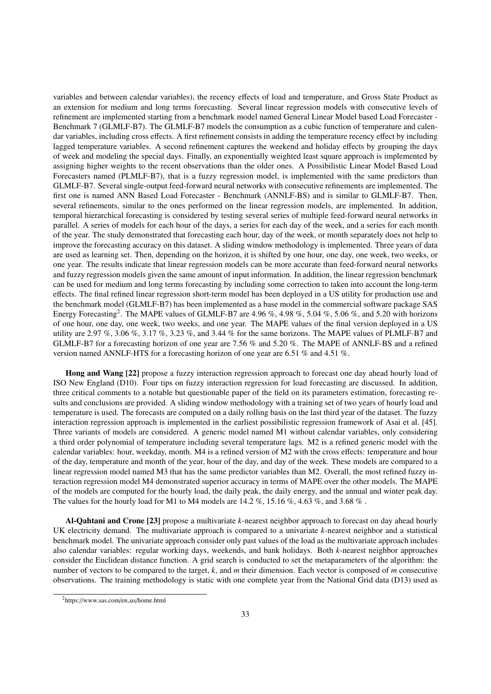variables and between calendar variables), the recency effects of load and temperature, and Gross State Product as an extension for medium and long terms forecasting. Several linear regression models with consecutive levels of refinement are implemented starting from a benchmark model named General Linear Model based Load Forecaster - Benchmark 7 (GLMLF-B7). The GLMLF-B7 models the consumption as a cubic function of temperature and calendar variables, including cross effects. A first refinement consists in adding the temperature recency effect by including lagged temperature variables. A second refinement captures the weekend and holiday effects by grouping the days of week and modeling the special days. Finally, an exponentially weighted least square approach is implemented by assigning higher weights to the recent observations than the older ones. A Possibilistic Linear Model Based Load Forecasters named (PLMLF-B7), that is a fuzzy regression model, is implemented with the same predictors than GLMLF-B7. Several single-output feed-forward neural networks with consecutive refinements are implemented. The first one is named ANN Based Load Forecaster - Benchmark (ANNLF-BS) and is similar to GLMLF-B7. Then, several refinements, similar to the ones performed on the linear regression models, are implemented. In addition, temporal hierarchical forecasting is considered by testing several series of multiple feed-forward neural networks in parallel. A series of models for each hour of the days, a series for each day of the week, and a series for each month of the year. The study demonstrated that forecasting each hour, day of the week, or month separately does not help to improve the forecasting accuracy on this dataset. A sliding window methodology is implemented. Three years of data are used as learning set. Then, depending on the horizon, it is shifted by one hour, one day, one week, two weeks, or one year. The results indicate that linear regression models can be more accurate than feed-forward neural networks and fuzzy regression models given the same amount of input information. In addition, the linear regression benchmark can be used for medium and long terms forecasting by including some correction to taken into account the long-term effects. The final refined linear regression short-term model has been deployed in a US utility for production use and the benchmark model (GLMLF-B7) has been implemented as a base model in the commercial software package SAS Energy Forecasting<sup>[2](#page-32-0)</sup>. The MAPE values of GLMLF-B7 are 4.96 %, 4.98 %, 5.04 %, 5.06 %, and 5.20 with horizons of one hour, one day, one week, two weeks, and one year. The MAPE values of the final version deployed in a US utility are 2.97 %, 3.06 %, 3.17 %, 3.23 %, and 3.44 % for the same horizons. The MAPE values of PLMLF-B7 and GLMLF-B7 for a forecasting horizon of one year are 7.56 % and 5.20 %. The MAPE of ANNLF-BS and a refined version named ANNLF-HTS for a forecasting horizon of one year are 6.51 % and 4.51 %.

Hong and Wang [\[22\]](#page-24-21) propose a fuzzy interaction regression approach to forecast one day ahead hourly load of ISO New England [\(D10\)](#page-39-1). Four tips on fuzzy interaction regression for load forecasting are discussed. In addition, three critical comments to a notable but questionable paper of the field on its parameters estimation, forecasting results and conclusions are provided. A sliding window methodology with a training set of two years of hourly load and temperature is used. The forecasts are computed on a daily rolling basis on the last third year of the dataset. The fuzzy interaction regression approach is implemented in the earliest possibilistic regression framework of Asai et al. [\[45\]](#page-25-19). Three variants of models are considered. A generic model named M1 without calendar variables, only considering a third order polynomial of temperature including several temperature lags. M2 is a refined generic model with the calendar variables: hour, weekday, month. M4 is a refined version of M2 with the cross effects: temperature and hour of the day, temperature and month of the year, hour of the day, and day of the week. These models are compared to a linear regression model named M3 that has the same predictor variables than M2. Overall, the most refined fuzzy interaction regression model M4 demonstrated superior accuracy in terms of MAPE over the other models. The MAPE of the models are computed for the hourly load, the daily peak, the daily energy, and the annual and winter peak day. The values for the hourly load for M1 to M4 models are  $14.2\%$ ,  $15.16\%$ ,  $4.63\%$ , and  $3.68\%$ .

Al-Qahtani and Crone [\[23\]](#page-24-22) propose a multivariate *k*-nearest neighbor approach to forecast on day ahead hourly UK electricity demand. The multivariate approach is compared to a univariate *k*-nearest neighbor and a statistical benchmark model. The univariate approach consider only past values of the load as the multivariate approach includes also calendar variables: regular working days, weekends, and bank holidays. Both *k*-nearest neighbor approaches consider the Euclidean distance function. A grid search is conducted to set the metaparameters of the algorithm: the number of vectors to be compared to the target, *k*, and *m* their dimension. Each vector is composed of *m* consecutive observations. The training methodology is static with one complete year from the National Grid data [\(D13\)](#page-39-1) used as

<span id="page-32-0"></span><sup>2</sup>https://www.sas.com/en us/home.html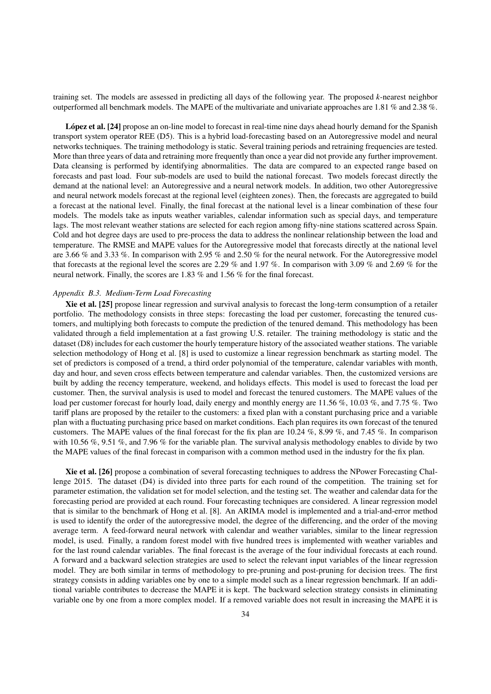training set. The models are assessed in predicting all days of the following year. The proposed *k*-nearest neighbor outperformed all benchmark models. The MAPE of the multivariate and univariate approaches are 1.81 % and 2.38 %.

López et al. [\[24\]](#page-24-23) propose an on-line model to forecast in real-time nine days ahead hourly demand for the Spanish transport system operator REE [\(D5\)](#page-38-1). This is a hybrid load-forecasting based on an Autoregressive model and neural networks techniques. The training methodology is static. Several training periods and retraining frequencies are tested. More than three years of data and retraining more frequently than once a year did not provide any further improvement. Data cleansing is performed by identifying abnormalities. The data are compared to an expected range based on forecasts and past load. Four sub-models are used to build the national forecast. Two models forecast directly the demand at the national level: an Autoregressive and a neural network models. In addition, two other Autoregressive and neural network models forecast at the regional level (eighteen zones). Then, the forecasts are aggregated to build a forecast at the national level. Finally, the final forecast at the national level is a linear combination of these four models. The models take as inputs weather variables, calendar information such as special days, and temperature lags. The most relevant weather stations are selected for each region among fifty-nine stations scattered across Spain. Cold and hot degree days are used to pre-process the data to address the nonlinear relationship between the load and temperature. The RMSE and MAPE values for the Autoregressive model that forecasts directly at the national level are 3.66 % and 3.33 %. In comparison with 2.95 % and 2.50 % for the neural network. For the Autoregressive model that forecasts at the regional level the scores are 2.29 % and 1.97 %. In comparison with 3.09 % and 2.69 % for the neural network. Finally, the scores are 1.83 % and 1.56 % for the final forecast.

#### <span id="page-33-0"></span>*Appendix B.3. Medium-Term Load Forecasting*

Xie et al. [\[25\]](#page-24-24) propose linear regression and survival analysis to forecast the long-term consumption of a retailer portfolio. The methodology consists in three steps: forecasting the load per customer, forecasting the tenured customers, and multiplying both forecasts to compute the prediction of the tenured demand. This methodology has been validated through a field implementation at a fast growing U.S. retailer. The training methodology is static and the dataset [\(D8\)](#page-38-1) includes for each customer the hourly temperature history of the associated weather stations. The variable selection methodology of Hong et al. [\[8\]](#page-24-7) is used to customize a linear regression benchmark as starting model. The set of predictors is composed of a trend, a third order polynomial of the temperature, calendar variables with month, day and hour, and seven cross effects between temperature and calendar variables. Then, the customized versions are built by adding the recency temperature, weekend, and holidays effects. This model is used to forecast the load per customer. Then, the survival analysis is used to model and forecast the tenured customers. The MAPE values of the load per customer forecast for hourly load, daily energy and monthly energy are 11.56 %, 10.03 %, and 7.75 %. Two tariff plans are proposed by the retailer to the customers: a fixed plan with a constant purchasing price and a variable plan with a fluctuating purchasing price based on market conditions. Each plan requires its own forecast of the tenured customers. The MAPE values of the final forecast for the fix plan are 10.24 %, 8.99 %, and 7.45 %. In comparison with 10.56 %, 9.51 %, and 7.96 % for the variable plan. The survival analysis methodology enables to divide by two the MAPE values of the final forecast in comparison with a common method used in the industry for the fix plan.

Xie et al. [\[26\]](#page-25-0) propose a combination of several forecasting techniques to address the NPower Forecasting Challenge 2015. The dataset [\(D4\)](#page-38-1) is divided into three parts for each round of the competition. The training set for parameter estimation, the validation set for model selection, and the testing set. The weather and calendar data for the forecasting period are provided at each round. Four forecasting techniques are considered. A linear regression model that is similar to the benchmark of Hong et al. [\[8\]](#page-24-7). An ARIMA model is implemented and a trial-and-error method is used to identify the order of the autoregressive model, the degree of the differencing, and the order of the moving average term. A feed-forward neural network with calendar and weather variables, similar to the linear regression model, is used. Finally, a random forest model with five hundred trees is implemented with weather variables and for the last round calendar variables. The final forecast is the average of the four individual forecasts at each round. A forward and a backward selection strategies are used to select the relevant input variables of the linear regression model. They are both similar in terms of methodology to pre-pruning and post-pruning for decision trees. The first strategy consists in adding variables one by one to a simple model such as a linear regression benchmark. If an additional variable contributes to decrease the MAPE it is kept. The backward selection strategy consists in eliminating variable one by one from a more complex model. If a removed variable does not result in increasing the MAPE it is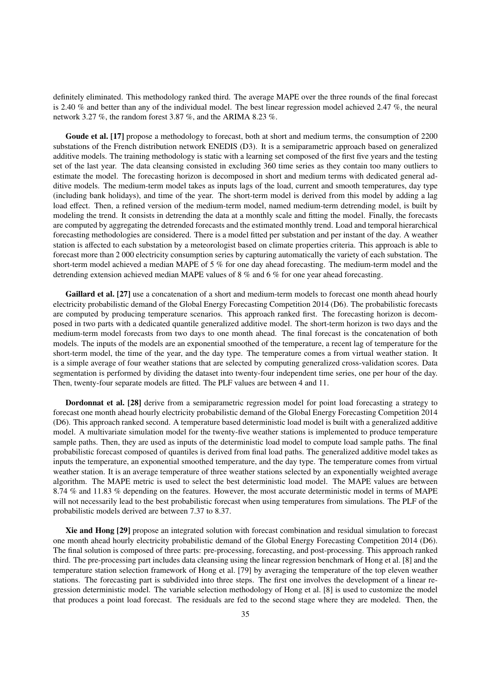definitely eliminated. This methodology ranked third. The average MAPE over the three rounds of the final forecast is 2.40 % and better than any of the individual model. The best linear regression model achieved 2.47 %, the neural network 3.27 %, the random forest 3.87 %, and the ARIMA 8.23 %.

Goude et al. [\[17\]](#page-24-16) propose a methodology to forecast, both at short and medium terms, the consumption of 2200 substations of the French distribution network ENEDIS [\(D3\)](#page-38-1). It is a semiparametric approach based on generalized additive models. The training methodology is static with a learning set composed of the first five years and the testing set of the last year. The data cleansing consisted in excluding 360 time series as they contain too many outliers to estimate the model. The forecasting horizon is decomposed in short and medium terms with dedicated general additive models. The medium-term model takes as inputs lags of the load, current and smooth temperatures, day type (including bank holidays), and time of the year. The short-term model is derived from this model by adding a lag load effect. Then, a refined version of the medium-term model, named medium-term detrending model, is built by modeling the trend. It consists in detrending the data at a monthly scale and fitting the model. Finally, the forecasts are computed by aggregating the detrended forecasts and the estimated monthly trend. Load and temporal hierarchical forecasting methodologies are considered. There is a model fitted per substation and per instant of the day. A weather station is affected to each substation by a meteorologist based on climate properties criteria. This approach is able to forecast more than 2 000 electricity consumption series by capturing automatically the variety of each substation. The short-term model achieved a median MAPE of 5 % for one day ahead forecasting. The medium-term model and the detrending extension achieved median MAPE values of 8 % and 6 % for one year ahead forecasting.

Gaillard et al. [\[27\]](#page-25-1) use a concatenation of a short and medium-term models to forecast one month ahead hourly electricity probabilistic demand of the Global Energy Forecasting Competition 2014 [\(D6\)](#page-38-1). The probabilistic forecasts are computed by producing temperature scenarios. This approach ranked first. The forecasting horizon is decomposed in two parts with a dedicated quantile generalized additive model. The short-term horizon is two days and the medium-term model forecasts from two days to one month ahead. The final forecast is the concatenation of both models. The inputs of the models are an exponential smoothed of the temperature, a recent lag of temperature for the short-term model, the time of the year, and the day type. The temperature comes a from virtual weather station. It is a simple average of four weather stations that are selected by computing generalized cross-validation scores. Data segmentation is performed by dividing the dataset into twenty-four independent time series, one per hour of the day. Then, twenty-four separate models are fitted. The PLF values are between 4 and 11.

Dordonnat et al. [\[28\]](#page-25-2) derive from a semiparametric regression model for point load forecasting a strategy to forecast one month ahead hourly electricity probabilistic demand of the Global Energy Forecasting Competition 2014 [\(D6\)](#page-38-1). This approach ranked second. A temperature based deterministic load model is built with a generalized additive model. A multivariate simulation model for the twenty-five weather stations is implemented to produce temperature sample paths. Then, they are used as inputs of the deterministic load model to compute load sample paths. The final probabilistic forecast composed of quantiles is derived from final load paths. The generalized additive model takes as inputs the temperature, an exponential smoothed temperature, and the day type. The temperature comes from virtual weather station. It is an average temperature of three weather stations selected by an exponentially weighted average algorithm. The MAPE metric is used to select the best deterministic load model. The MAPE values are between 8.74 % and 11.83 % depending on the features. However, the most accurate deterministic model in terms of MAPE will not necessarily lead to the best probabilistic forecast when using temperatures from simulations. The PLF of the probabilistic models derived are between 7.37 to 8.37.

Xie and Hong [\[29\]](#page-25-3) propose an integrated solution with forecast combination and residual simulation to forecast one month ahead hourly electricity probabilistic demand of the Global Energy Forecasting Competition 2014 [\(D6\)](#page-38-1). The final solution is composed of three parts: pre-processing, forecasting, and post-processing. This approach ranked third. The pre-processing part includes data cleansing using the linear regression benchmark of Hong et al. [\[8\]](#page-24-7) and the temperature station selection framework of Hong et al. [\[79\]](#page-26-7) by averaging the temperature of the top eleven weather stations. The forecasting part is subdivided into three steps. The first one involves the development of a linear regression deterministic model. The variable selection methodology of Hong et al. [\[8\]](#page-24-7) is used to customize the model that produces a point load forecast. The residuals are fed to the second stage where they are modeled. Then, the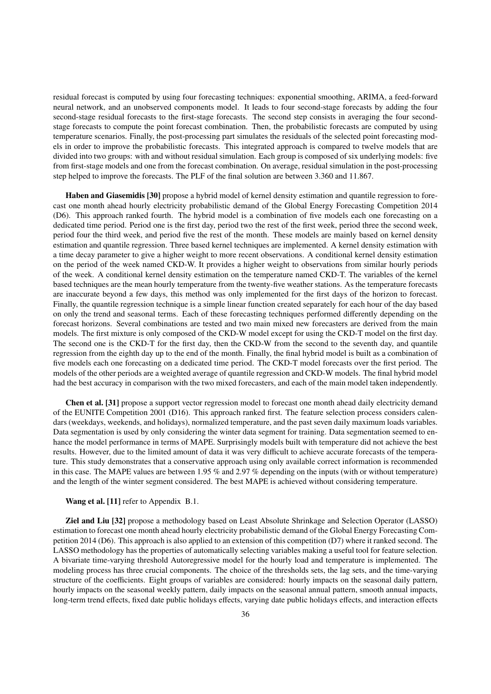residual forecast is computed by using four forecasting techniques: exponential smoothing, ARIMA, a feed-forward neural network, and an unobserved components model. It leads to four second-stage forecasts by adding the four second-stage residual forecasts to the first-stage forecasts. The second step consists in averaging the four secondstage forecasts to compute the point forecast combination. Then, the probabilistic forecasts are computed by using temperature scenarios. Finally, the post-processing part simulates the residuals of the selected point forecasting models in order to improve the probabilistic forecasts. This integrated approach is compared to twelve models that are divided into two groups: with and without residual simulation. Each group is composed of six underlying models: five from first-stage models and one from the forecast combination. On average, residual simulation in the post-processing step helped to improve the forecasts. The PLF of the final solution are between 3.360 and 11.867.

Haben and Giasemidis [\[30\]](#page-25-4) propose a hybrid model of kernel density estimation and quantile regression to forecast one month ahead hourly electricity probabilistic demand of the Global Energy Forecasting Competition 2014 [\(D6\)](#page-38-1). This approach ranked fourth. The hybrid model is a combination of five models each one forecasting on a dedicated time period. Period one is the first day, period two the rest of the first week, period three the second week, period four the third week, and period five the rest of the month. These models are mainly based on kernel density estimation and quantile regression. Three based kernel techniques are implemented. A kernel density estimation with a time decay parameter to give a higher weight to more recent observations. A conditional kernel density estimation on the period of the week named CKD-W. It provides a higher weight to observations from similar hourly periods of the week. A conditional kernel density estimation on the temperature named CKD-T. The variables of the kernel based techniques are the mean hourly temperature from the twenty-five weather stations. As the temperature forecasts are inaccurate beyond a few days, this method was only implemented for the first days of the horizon to forecast. Finally, the quantile regression technique is a simple linear function created separately for each hour of the day based on only the trend and seasonal terms. Each of these forecasting techniques performed differently depending on the forecast horizons. Several combinations are tested and two main mixed new forecasters are derived from the main models. The first mixture is only composed of the CKD-W model except for using the CKD-T model on the first day. The second one is the CKD-T for the first day, then the CKD-W from the second to the seventh day, and quantile regression from the eighth day up to the end of the month. Finally, the final hybrid model is built as a combination of five models each one forecasting on a dedicated time period. The CKD-T model forecasts over the first period. The models of the other periods are a weighted average of quantile regression and CKD-W models. The final hybrid model had the best accuracy in comparison with the two mixed forecasters, and each of the main model taken independently.

Chen et al. [\[31\]](#page-25-5) propose a support vector regression model to forecast one month ahead daily electricity demand of the EUNITE Competition 2001 [\(D16\)](#page-39-1). This approach ranked first. The feature selection process considers calendars (weekdays, weekends, and holidays), normalized temperature, and the past seven daily maximum loads variables. Data segmentation is used by only considering the winter data segment for training. Data segmentation seemed to enhance the model performance in terms of MAPE. Surprisingly models built with temperature did not achieve the best results. However, due to the limited amount of data it was very difficult to achieve accurate forecasts of the temperature. This study demonstrates that a conservative approach using only available correct information is recommended in this case. The MAPE values are between 1.95 % and 2.97 % depending on the inputs (with or without temperature) and the length of the winter segment considered. The best MAPE is achieved without considering temperature.

#### Wang et al. [\[11\]](#page-24-10) refer to [Appendix B.1.](#page-28-1)

Ziel and Liu [\[32\]](#page-25-6) propose a methodology based on Least Absolute Shrinkage and Selection Operator (LASSO) estimation to forecast one month ahead hourly electricity probabilistic demand of the Global Energy Forecasting Competition 2014 [\(D6\)](#page-38-1). This approach is also applied to an extension of this competition (D7) where it ranked second. The LASSO methodology has the properties of automatically selecting variables making a useful tool for feature selection. A bivariate time-varying threshold Autoregressive model for the hourly load and temperature is implemented. The modeling process has three crucial components. The choice of the thresholds sets, the lag sets, and the time-varying structure of the coefficients. Eight groups of variables are considered: hourly impacts on the seasonal daily pattern, hourly impacts on the seasonal weekly pattern, daily impacts on the seasonal annual pattern, smooth annual impacts, long-term trend effects, fixed date public holidays effects, varying date public holidays effects, and interaction effects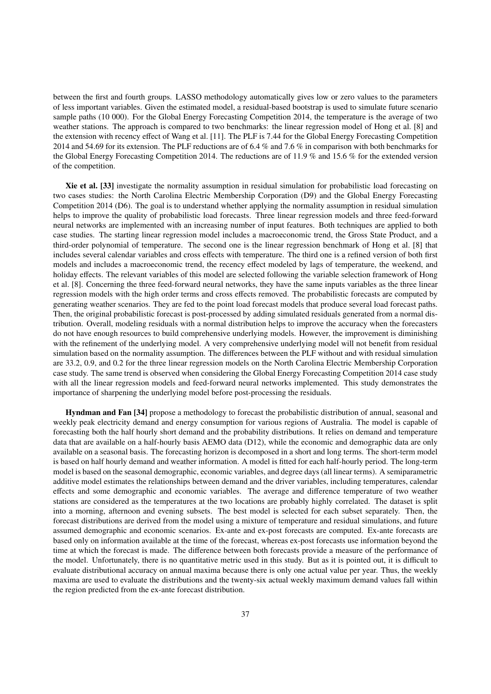between the first and fourth groups. LASSO methodology automatically gives low or zero values to the parameters of less important variables. Given the estimated model, a residual-based bootstrap is used to simulate future scenario sample paths (10 000). For the Global Energy Forecasting Competition 2014, the temperature is the average of two weather stations. The approach is compared to two benchmarks: the linear regression model of Hong et al. [\[8\]](#page-24-7) and the extension with recency effect of Wang et al. [\[11\]](#page-24-10). The PLF is 7.44 for the Global Energy Forecasting Competition 2014 and 54.69 for its extension. The PLF reductions are of 6.4 % and 7.6 % in comparison with both benchmarks for the Global Energy Forecasting Competition 2014. The reductions are of 11.9 % and 15.6 % for the extended version of the competition.

Xie et al. [\[33\]](#page-25-7) investigate the normality assumption in residual simulation for probabilistic load forecasting on two cases studies: the North Carolina Electric Membership Corporation [\(D9\)](#page-38-1) and the Global Energy Forecasting Competition 2014 [\(D6\)](#page-38-1). The goal is to understand whether applying the normality assumption in residual simulation helps to improve the quality of probabilistic load forecasts. Three linear regression models and three feed-forward neural networks are implemented with an increasing number of input features. Both techniques are applied to both case studies. The starting linear regression model includes a macroeconomic trend, the Gross State Product, and a third-order polynomial of temperature. The second one is the linear regression benchmark of Hong et al. [\[8\]](#page-24-7) that includes several calendar variables and cross effects with temperature. The third one is a refined version of both first models and includes a macroeconomic trend, the recency effect modeled by lags of temperature, the weekend, and holiday effects. The relevant variables of this model are selected following the variable selection framework of Hong et al. [\[8\]](#page-24-7). Concerning the three feed-forward neural networks, they have the same inputs variables as the three linear regression models with the high order terms and cross effects removed. The probabilistic forecasts are computed by generating weather scenarios. They are fed to the point load forecast models that produce several load forecast paths. Then, the original probabilistic forecast is post-processed by adding simulated residuals generated from a normal distribution. Overall, modeling residuals with a normal distribution helps to improve the accuracy when the forecasters do not have enough resources to build comprehensive underlying models. However, the improvement is diminishing with the refinement of the underlying model. A very comprehensive underlying model will not benefit from residual simulation based on the normality assumption. The differences between the PLF without and with residual simulation are 33.2, 0.9, and 0.2 for the three linear regression models on the North Carolina Electric Membership Corporation case study. The same trend is observed when considering the Global Energy Forecasting Competition 2014 case study with all the linear regression models and feed-forward neural networks implemented. This study demonstrates the importance of sharpening the underlying model before post-processing the residuals.

Hyndman and Fan [\[34\]](#page-25-8) propose a methodology to forecast the probabilistic distribution of annual, seasonal and weekly peak electricity demand and energy consumption for various regions of Australia. The model is capable of forecasting both the half hourly short demand and the probability distributions. It relies on demand and temperature data that are available on a half-hourly basis AEMO data [\(D12\)](#page-39-1), while the economic and demographic data are only available on a seasonal basis. The forecasting horizon is decomposed in a short and long terms. The short-term model is based on half hourly demand and weather information. A model is fitted for each half-hourly period. The long-term model is based on the seasonal demographic, economic variables, and degree days (all linear terms). A semiparametric additive model estimates the relationships between demand and the driver variables, including temperatures, calendar effects and some demographic and economic variables. The average and difference temperature of two weather stations are considered as the temperatures at the two locations are probably highly correlated. The dataset is split into a morning, afternoon and evening subsets. The best model is selected for each subset separately. Then, the forecast distributions are derived from the model using a mixture of temperature and residual simulations, and future assumed demographic and economic scenarios. Ex-ante and ex-post forecasts are computed. Ex-ante forecasts are based only on information available at the time of the forecast, whereas ex-post forecasts use information beyond the time at which the forecast is made. The difference between both forecasts provide a measure of the performance of the model. Unfortunately, there is no quantitative metric used in this study. But as it is pointed out, it is difficult to evaluate distributional accuracy on annual maxima because there is only one actual value per year. Thus, the weekly maxima are used to evaluate the distributions and the twenty-six actual weekly maximum demand values fall within the region predicted from the ex-ante forecast distribution.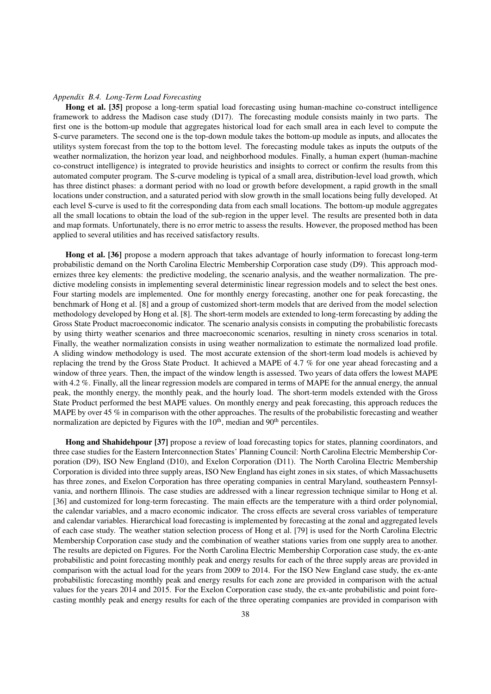#### <span id="page-37-0"></span>*Appendix B.4. Long-Term Load Forecasting*

Hong et al. [\[35\]](#page-25-9) propose a long-term spatial load forecasting using human-machine co-construct intelligence framework to address the Madison case study [\(D17\)](#page-39-1). The forecasting module consists mainly in two parts. The first one is the bottom-up module that aggregates historical load for each small area in each level to compute the S-curve parameters. The second one is the top-down module takes the bottom-up module as inputs, and allocates the utilitys system forecast from the top to the bottom level. The forecasting module takes as inputs the outputs of the weather normalization, the horizon year load, and neighborhood modules. Finally, a human expert (human-machine co-construct intelligence) is integrated to provide heuristics and insights to correct or confirm the results from this automated computer program. The S-curve modeling is typical of a small area, distribution-level load growth, which has three distinct phases: a dormant period with no load or growth before development, a rapid growth in the small locations under construction, and a saturated period with slow growth in the small locations being fully developed. At each level S-curve is used to fit the corresponding data from each small locations. The bottom-up module aggregates all the small locations to obtain the load of the sub-region in the upper level. The results are presented both in data and map formats. Unfortunately, there is no error metric to assess the results. However, the proposed method has been applied to several utilities and has received satisfactory results.

Hong et al. [\[36\]](#page-25-10) propose a modern approach that takes advantage of hourly information to forecast long-term probabilistic demand on the North Carolina Electric Membership Corporation case study [\(D9\)](#page-38-1). This approach modernizes three key elements: the predictive modeling, the scenario analysis, and the weather normalization. The predictive modeling consists in implementing several deterministic linear regression models and to select the best ones. Four starting models are implemented. One for monthly energy forecasting, another one for peak forecasting, the benchmark of Hong et al. [\[8\]](#page-24-7) and a group of customized short-term models that are derived from the model selection methodology developed by Hong et al. [\[8\]](#page-24-7). The short-term models are extended to long-term forecasting by adding the Gross State Product macroeconomic indicator. The scenario analysis consists in computing the probabilistic forecasts by using thirty weather scenarios and three macroeconomic scenarios, resulting in ninety cross scenarios in total. Finally, the weather normalization consists in using weather normalization to estimate the normalized load profile. A sliding window methodology is used. The most accurate extension of the short-term load models is achieved by replacing the trend by the Gross State Product. It achieved a MAPE of 4.7 % for one year ahead forecasting and a window of three years. Then, the impact of the window length is assessed. Two years of data offers the lowest MAPE with 4.2 %. Finally, all the linear regression models are compared in terms of MAPE for the annual energy, the annual peak, the monthly energy, the monthly peak, and the hourly load. The short-term models extended with the Gross State Product performed the best MAPE values. On monthly energy and peak forecasting, this approach reduces the MAPE by over 45 % in comparison with the other approaches. The results of the probabilistic forecasting and weather normalization are depicted by Figures with the  $10<sup>th</sup>$ , median and  $90<sup>th</sup>$  percentiles.

Hong and Shahidehpour [\[37\]](#page-25-11) propose a review of load forecasting topics for states, planning coordinators, and three case studies for the Eastern Interconnection States' Planning Council: North Carolina Electric Membership Corporation [\(D9\)](#page-38-1), ISO New England [\(D10\)](#page-39-1), and Exelon Corporation [\(D11\)](#page-39-1). The North Carolina Electric Membership Corporation is divided into three supply areas, ISO New England has eight zones in six states, of which Massachusetts has three zones, and Exelon Corporation has three operating companies in central Maryland, southeastern Pennsylvania, and northern Illinois. The case studies are addressed with a linear regression technique similar to Hong et al. [\[36\]](#page-25-10) and customized for long-term forecasting. The main effects are the temperature with a third order polynomial, the calendar variables, and a macro economic indicator. The cross effects are several cross variables of temperature and calendar variables. Hierarchical load forecasting is implemented by forecasting at the zonal and aggregated levels of each case study. The weather station selection process of Hong et al. [\[79\]](#page-26-7) is used for the North Carolina Electric Membership Corporation case study and the combination of weather stations varies from one supply area to another. The results are depicted on Figures. For the North Carolina Electric Membership Corporation case study, the ex-ante probabilistic and point forecasting monthly peak and energy results for each of the three supply areas are provided in comparison with the actual load for the years from 2009 to 2014. For the ISO New England case study, the ex-ante probabilistic forecasting monthly peak and energy results for each zone are provided in comparison with the actual values for the years 2014 and 2015. For the Exelon Corporation case study, the ex-ante probabilistic and point forecasting monthly peak and energy results for each of the three operating companies are provided in comparison with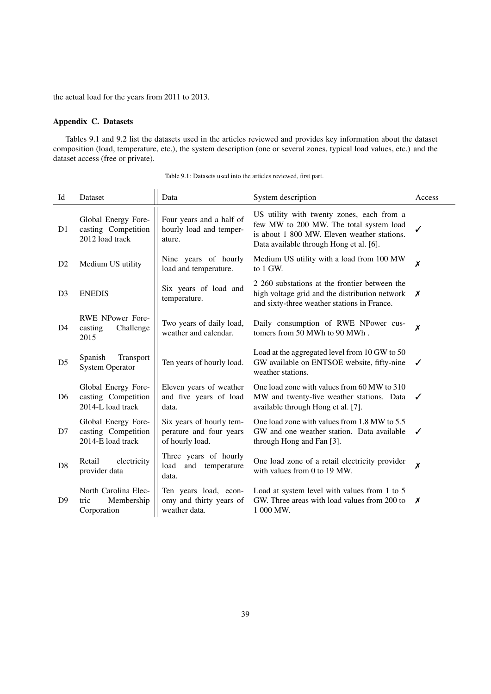the actual load for the years from 2011 to 2013.

## <span id="page-38-0"></span>Appendix C. Datasets

Tables [9.1](#page-38-1) and [9.2](#page-39-1) list the datasets used in the articles reviewed and provides key information about the dataset composition (load, temperature, etc.), the system description (one or several zones, typical load values, etc.) and the dataset access (free or private).

<span id="page-38-1"></span>

| Id             | Dataset                                                         | Data                                                                   | System description                                                                                                                                                             | Access |
|----------------|-----------------------------------------------------------------|------------------------------------------------------------------------|--------------------------------------------------------------------------------------------------------------------------------------------------------------------------------|--------|
| D <sub>1</sub> | Global Energy Fore-<br>casting Competition<br>2012 load track   | Four years and a half of<br>hourly load and temper-<br>ature.          | US utility with twenty zones, each from a<br>few MW to 200 MW. The total system load<br>is about 1 800 MW. Eleven weather stations.<br>Data available through Hong et al. [6]. | ✓      |
| D <sub>2</sub> | Medium US utility                                               | Nine years of hourly<br>load and temperature.                          | Medium US utility with a load from 100 MW<br>to 1 GW.                                                                                                                          | X      |
| D <sub>3</sub> | <b>ENEDIS</b>                                                   | Six years of load and<br>temperature.                                  | 2 260 substations at the frontier between the<br>high voltage grid and the distribution network<br>and sixty-three weather stations in France.                                 | Х      |
| D <sub>4</sub> | <b>RWE NPower Fore-</b><br>casting<br>Challenge<br>2015         | Two years of daily load,<br>weather and calendar.                      | Daily consumption of RWE NPower cus-<br>tomers from 50 MWh to 90 MWh.                                                                                                          | X      |
| D <sub>5</sub> | Spanish<br>Transport<br><b>System Operator</b>                  | Ten years of hourly load.                                              | Load at the aggregated level from 10 GW to 50<br>GW available on ENTSOE website, fifty-nine<br>weather stations.                                                               | ✓      |
| D <sub>6</sub> | Global Energy Fore-<br>casting Competition<br>2014-L load track | Eleven years of weather<br>and five years of load<br>data.             | One load zone with values from 60 MW to 310<br>MW and twenty-five weather stations. Data<br>available through Hong et al. [7].                                                 | ✓      |
| D7             | Global Energy Fore-<br>casting Competition<br>2014-E load track | Six years of hourly tem-<br>perature and four years<br>of hourly load. | One load zone with values from 1.8 MW to 5.5<br>GW and one weather station. Data available<br>through Hong and Fan [3].                                                        | ✓      |
| D <sub>8</sub> | electricity<br>Retail<br>provider data                          | Three years of hourly<br>load<br>and<br>temperature<br>data.           | One load zone of a retail electricity provider<br>with values from 0 to 19 MW.                                                                                                 | X      |
| D <sup>9</sup> | North Carolina Elec-<br>Membership<br>tric<br>Corporation       | Ten years load, econ-<br>omy and thirty years of<br>weather data.      | Load at system level with values from 1 to 5<br>GW. Three areas with load values from 200 to<br>1 000 MW.                                                                      | X      |

Table 9.1: Datasets used into the articles reviewed, first part.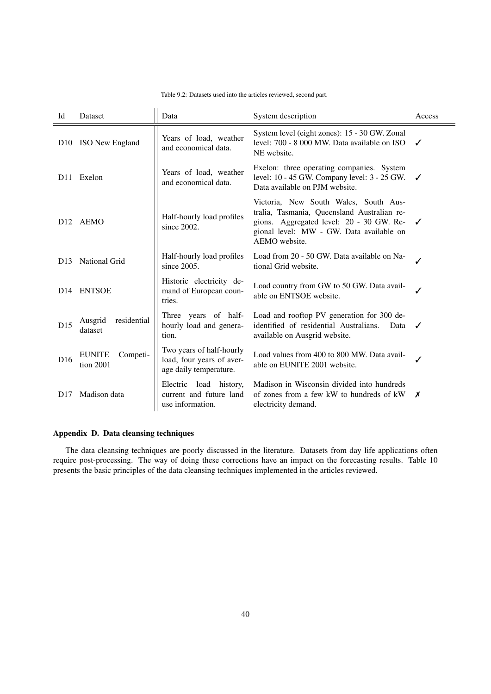| Table 9.2: Datasets used into the articles reviewed, second part. |
|-------------------------------------------------------------------|
|-------------------------------------------------------------------|

<span id="page-39-1"></span>

| Id              | Dataset                                | Data                                                                            | System description                                                                                                                                                                            | Access |
|-----------------|----------------------------------------|---------------------------------------------------------------------------------|-----------------------------------------------------------------------------------------------------------------------------------------------------------------------------------------------|--------|
| D <sub>10</sub> | ISO New England                        | Years of load, weather<br>and economical data.                                  | System level (eight zones): 15 - 30 GW. Zonal<br>level: 700 - 8 000 MW. Data available on ISO<br>NE website.                                                                                  | ✓      |
| D <sub>11</sub> | Exelon                                 | Years of load, weather<br>and economical data.                                  | Exelon: three operating companies. System<br>level: 10 - 45 GW. Company level: 3 - 25 GW.<br>Data available on PJM website.                                                                   | ✓      |
| D <sub>12</sub> | AEMO                                   | Half-hourly load profiles<br>since $2002$ .                                     | Victoria, New South Wales, South Aus-<br>tralia, Tasmania, Queensland Australian re-<br>gions. Aggregated level: 20 - 30 GW. Re-<br>gional level: MW - GW. Data available on<br>AEMO website. | ✓      |
| D <sub>13</sub> | National Grid                          | Half-hourly load profiles<br>since 2005.                                        | Load from 20 - 50 GW. Data available on Na-<br>tional Grid website.                                                                                                                           |        |
| D <sub>14</sub> | <b>ENTSOE</b>                          | Historic electricity de-<br>mand of European coun-<br>tries.                    | Load country from GW to 50 GW. Data avail-<br>able on ENTSOE website.                                                                                                                         |        |
| D15             | residential<br>Ausgrid<br>dataset      | Three years of half-<br>hourly load and genera-<br>tion.                        | Load and rooftop PV generation for 300 de-<br>identified of residential Australians.<br>Data<br>available on Ausgrid website.                                                                 | ✓      |
| D <sub>16</sub> | <b>EUNITE</b><br>Competi-<br>tion 2001 | Two years of half-hourly<br>load, four years of aver-<br>age daily temperature. | Load values from 400 to 800 MW. Data avail-<br>able on EUNITE 2001 website.                                                                                                                   |        |
| D <sub>17</sub> | Madison data                           | Electric load history,<br>current and future land<br>use information.           | Madison in Wisconsin divided into hundreds<br>of zones from a few kW to hundreds of kW<br>electricity demand.                                                                                 | Х      |

## <span id="page-39-0"></span>Appendix D. Data cleansing techniques

The data cleansing techniques are poorly discussed in the literature. Datasets from day life applications often require post-processing. The way of doing these corrections have an impact on the forecasting results. Table [10](#page-40-1) presents the basic principles of the data cleansing techniques implemented in the articles reviewed.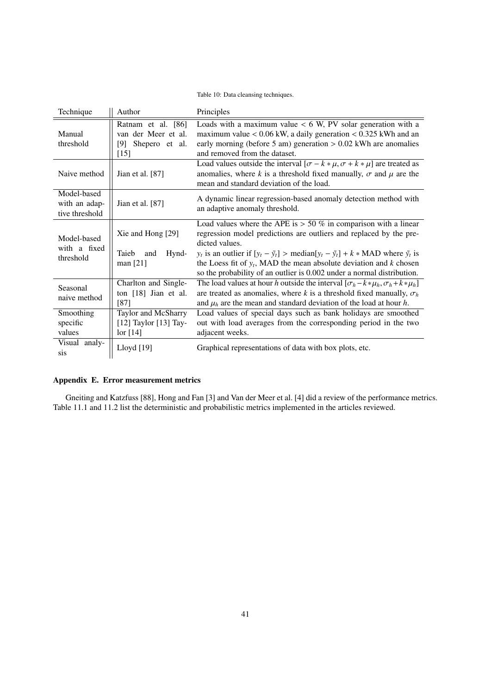## Table 10: Data cleansing techniques.

<span id="page-40-1"></span>

| Technique                                      | Author                                                                       | Principles                                                                                                                                                                                                                                                                                                                                                                                                                               |
|------------------------------------------------|------------------------------------------------------------------------------|------------------------------------------------------------------------------------------------------------------------------------------------------------------------------------------------------------------------------------------------------------------------------------------------------------------------------------------------------------------------------------------------------------------------------------------|
| Manual<br>threshold                            | Ratnam et al. [86]<br>van der Meer et al.<br>Shepero et al.<br>[9]<br>$[15]$ | Loads with a maximum value $< 6$ W, PV solar generation with a<br>maximum value $< 0.06$ kW, a daily generation $< 0.325$ kWh and an<br>early morning (before 5 am) generation $> 0.02$ kWh are anomalies<br>and removed from the dataset.                                                                                                                                                                                               |
| Naive method                                   | Jian et al. $[87]$                                                           | Load values outside the interval $[\sigma - k * \mu, \sigma + k * \mu]$ are treated as<br>anomalies, where k is a threshold fixed manually, $\sigma$ and $\mu$ are the<br>mean and standard deviation of the load.                                                                                                                                                                                                                       |
| Model-based<br>with an adap-<br>tive threshold | Jian et al. $[87]$                                                           | A dynamic linear regression-based anomaly detection method with<br>an adaptive anomaly threshold.                                                                                                                                                                                                                                                                                                                                        |
| Model-based<br>with a fixed<br>threshold       | Xie and Hong [29]<br>Hynd-<br>Taieb<br>and<br>man $[21]$                     | Load values where the APE is $> 50 \%$ in comparison with a linear<br>regression model predictions are outliers and replaced by the pre-<br>dicted values.<br>$y_t$ is an outlier if $[y_t - \tilde{y}_t] > \text{median}[y_t - \tilde{y}_t] + k * \text{MAD}$ where $\tilde{y}_t$ is<br>the Loess fit of $y_t$ , MAD the mean absolute deviation and k chosen<br>so the probability of an outlier is 0.002 under a normal distribution. |
| Seasonal<br>naive method                       | Charlton and Single-<br>ton $[18]$ Jian et al.<br>[87]                       | The load values at hour h outside the interval $[\sigma_h - k * \mu_h, \sigma_h + k * \mu_h]$<br>are treated as anomalies, where k is a threshold fixed manually, $\sigma_h$<br>and $\mu_h$ are the mean and standard deviation of the load at hour h.                                                                                                                                                                                   |
| Smoothing<br>specific<br>values                | Taylor and McSharry<br>$[12]$ Taylor $[13]$ Tay-<br>$\text{lor}$ [14]        | Load values of special days such as bank holidays are smoothed<br>out with load averages from the corresponding period in the two<br>adjacent weeks.                                                                                                                                                                                                                                                                                     |
| Visual analy-<br>sis                           | Lloyd [19]                                                                   | Graphical representations of data with box plots, etc.                                                                                                                                                                                                                                                                                                                                                                                   |

## <span id="page-40-0"></span>Appendix E. Error measurement metrics

Gneiting and Katzfuss [\[88\]](#page-26-16), Hong and Fan [\[3\]](#page-24-2) and Van der Meer et al. [\[4\]](#page-24-3) did a review of the performance metrics. Table [11.1](#page-41-0) and [11.2](#page-42-0) list the deterministic and probabilistic metrics implemented in the articles reviewed.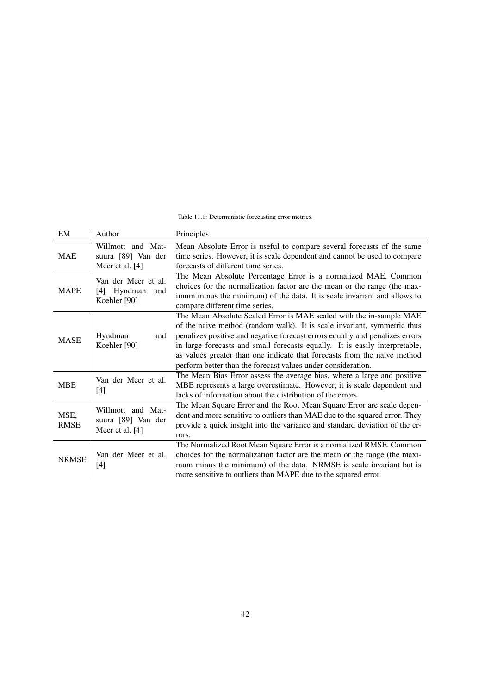#### Table 11.1: Deterministic forecasting error metrics.

<span id="page-41-0"></span>

| EM                  | Author                                                       | Principles                                                                                                                                                                                                                                                                                                                                                                                                                                                 |
|---------------------|--------------------------------------------------------------|------------------------------------------------------------------------------------------------------------------------------------------------------------------------------------------------------------------------------------------------------------------------------------------------------------------------------------------------------------------------------------------------------------------------------------------------------------|
| <b>MAE</b>          | Willmott and Mat-<br>suura [89] Van der<br>Meer et al. [4]   | Mean Absolute Error is useful to compare several forecasts of the same<br>time series. However, it is scale dependent and cannot be used to compare<br>forecasts of different time series.                                                                                                                                                                                                                                                                 |
| <b>MAPE</b>         | Van der Meer et al.<br>Hyndman<br>[4]<br>and<br>Koehler [90] | The Mean Absolute Percentage Error is a normalized MAE. Common<br>choices for the normalization factor are the mean or the range (the max-<br>imum minus the minimum) of the data. It is scale invariant and allows to<br>compare different time series.                                                                                                                                                                                                   |
| <b>MASE</b>         | Hyndman<br>and<br>Koehler [90]                               | The Mean Absolute Scaled Error is MAE scaled with the in-sample MAE<br>of the naive method (random walk). It is scale invariant, symmetric thus<br>penalizes positive and negative forecast errors equally and penalizes errors<br>in large forecasts and small forecasts equally. It is easily interpretable,<br>as values greater than one indicate that forecasts from the naive method<br>perform better than the forecast values under consideration. |
| <b>MBE</b>          | Van der Meer et al.<br>[4]                                   | The Mean Bias Error assess the average bias, where a large and positive<br>MBE represents a large overestimate. However, it is scale dependent and<br>lacks of information about the distribution of the errors.                                                                                                                                                                                                                                           |
| MSE,<br><b>RMSE</b> | Willmott and Mat-<br>suura [89] Van der<br>Meer et al. [4]   | The Mean Square Error and the Root Mean Square Error are scale depen-<br>dent and more sensitive to outliers than MAE due to the squared error. They<br>provide a quick insight into the variance and standard deviation of the er-<br>rors.                                                                                                                                                                                                               |
| <b>NRMSE</b>        | Van der Meer et al.<br>[4]                                   | The Normalized Root Mean Square Error is a normalized RMSE. Common<br>choices for the normalization factor are the mean or the range (the maxi-<br>mum minus the minimum) of the data. NRMSE is scale invariant but is<br>more sensitive to outliers than MAPE due to the squared error.                                                                                                                                                                   |